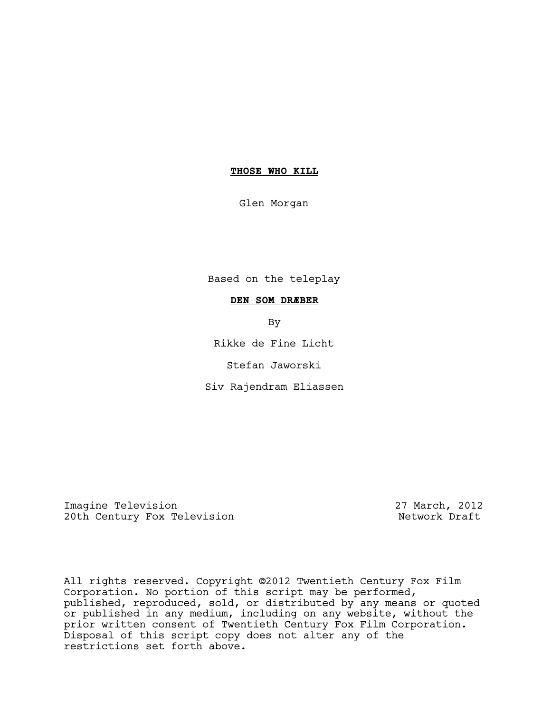# **THOSE WHO KILL**

Glen Morgan

Based on the teleplay

# **DEN SOM DRÆBER**

By

Rikke de Fine Licht

Stefan Jaworski

Siv Rajendram Eliassen

Imagine Television<br>
20th Century Fox Television<br>
20th Century Fox Television 20th Century Fox Television

All rights reserved. Copyright ©2012 Twentieth Century Fox Film Corporation. No portion of this script may be performed, published, reproduced, sold, or distributed by any means or quoted or published in any medium, including on any website, without the prior written consent of Twentieth Century Fox Film Corporation. Disposal of this script copy does not alter any of the restrictions set forth above.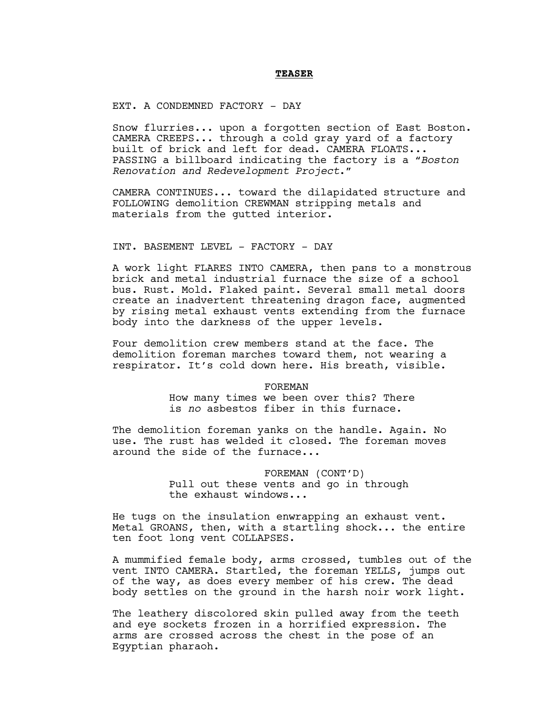### **TEASER**

EXT. A CONDEMNED FACTORY - DAY

Snow flurries... upon a forgotten section of East Boston. CAMERA CREEPS... through a cold gray yard of a factory built of brick and left for dead. CAMERA FLOATS... PASSING a billboard indicating the factory is a "*Boston Renovation and Redevelopment Project*."

CAMERA CONTINUES... toward the dilapidated structure and FOLLOWING demolition CREWMAN stripping metals and materials from the gutted interior.

INT. BASEMENT LEVEL - FACTORY - DAY

A work light FLARES INTO CAMERA, then pans to a monstrous brick and metal industrial furnace the size of a school bus. Rust. Mold. Flaked paint. Several small metal doors create an inadvertent threatening dragon face, augmented by rising metal exhaust vents extending from the furnace body into the darkness of the upper levels.

Four demolition crew members stand at the face. The demolition foreman marches toward them, not wearing a respirator. It's cold down here. His breath, visible.

> FOREMAN How many times we been over this? There is *no* asbestos fiber in this furnace.

The demolition foreman yanks on the handle. Again. No use. The rust has welded it closed. The foreman moves around the side of the furnace...

> FOREMAN (CONT'D) Pull out these vents and go in through the exhaust windows...

He tugs on the insulation enwrapping an exhaust vent. Metal GROANS, then, with a startling shock... the entire ten foot long vent COLLAPSES.

A mummified female body, arms crossed, tumbles out of the vent INTO CAMERA. Startled, the foreman YELLS, jumps out of the way, as does every member of his crew. The dead body settles on the ground in the harsh noir work light.

The leathery discolored skin pulled away from the teeth and eye sockets frozen in a horrified expression. The arms are crossed across the chest in the pose of an Egyptian pharaoh.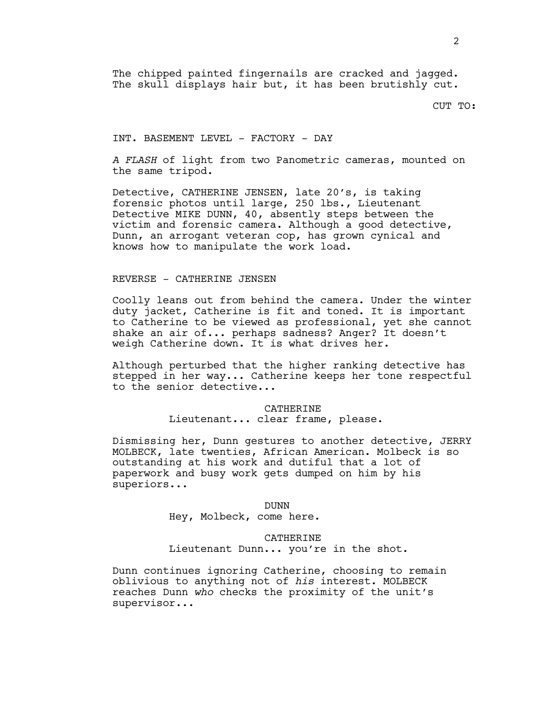The chipped painted fingernails are cracked and jagged. The skull displays hair but, it has been brutishly cut.

CUT TO:

INT. BASEMENT LEVEL - FACTORY - DAY

*A FLASH* of light from two Panometric cameras, mounted on the same tripod.

Detective, CATHERINE JENSEN, late 20's, is taking forensic photos until large, 250 lbs., Lieutenant Detective MIKE DUNN, 40, absently steps between the victim and forensic camera. Although a good detective, Dunn, an arrogant veteran cop, has grown cynical and knows how to manipulate the work load.

### REVERSE - CATHERINE JENSEN

Coolly leans out from behind the camera. Under the winter duty jacket, Catherine is fit and toned. It is important to Catherine to be viewed as professional, yet she cannot shake an air of... perhaps sadness? Anger? It doesn't weigh Catherine down. It is what drives her.

Although perturbed that the higher ranking detective has stepped in her way... Catherine keeps her tone respectful to the senior detective...

> CATHERINE Lieutenant... clear frame, please.

Dismissing her, Dunn gestures to another detective, JERRY MOLBECK, late twenties, African American. Molbeck is so outstanding at his work and dutiful that a lot of paperwork and busy work gets dumped on him by his superiors...

> DUNN Hey, Molbeck, come here.

CATHERINE Lieutenant Dunn... you're in the shot.

Dunn continues ignoring Catherine, choosing to remain oblivious to anything not of *his* interest. MOLBECK reaches Dunn *who* checks the proximity of the unit's supervisor...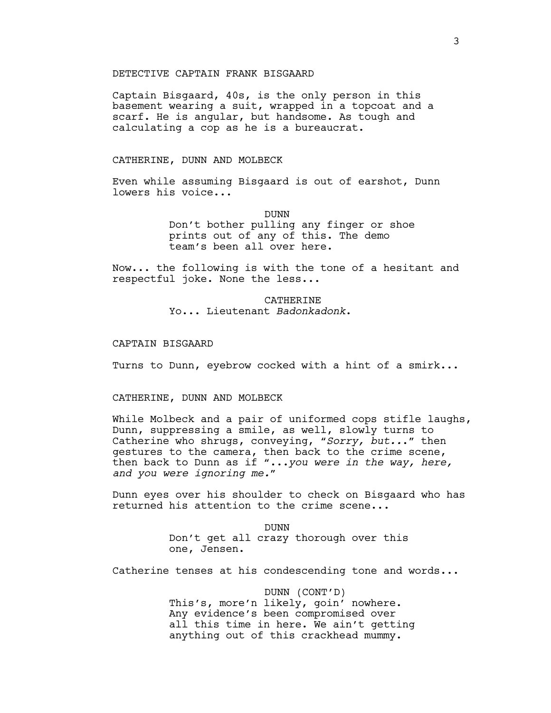## DETECTIVE CAPTAIN FRANK BISGAARD

Captain Bisgaard, 40s, is the only person in this basement wearing a suit, wrapped in a topcoat and a scarf. He is angular, but handsome. As tough and calculating a cop as he is a bureaucrat.

# CATHERINE, DUNN AND MOLBECK

Even while assuming Bisgaard is out of earshot, Dunn lowers his voice...

DUNN

Don't bother pulling any finger or shoe prints out of any of this. The demo team's been all over here.

Now... the following is with the tone of a hesitant and respectful joke. None the less...

> CATHERINE Yo... Lieutenant *Badonkadonk*.

#### CAPTAIN BISGAARD

Turns to Dunn, eyebrow cocked with a hint of a smirk...

# CATHERINE, DUNN AND MOLBECK

While Molbeck and a pair of uniformed cops stifle laughs, Dunn, suppressing a smile, as well, slowly turns to Catherine who shrugs, conveying, "*Sorry, but..*." then gestures to the camera, then back to the crime scene, then back to Dunn as if "...*you were in the way, here, and you were ignoring me.*"

Dunn eyes over his shoulder to check on Bisgaard who has returned his attention to the crime scene...

> DUNN Don't get all crazy thorough over this one, Jensen.

Catherine tenses at his condescending tone and words...

DUNN (CONT'D) This's, more'n likely, goin' nowhere. Any evidence's been compromised over all this time in here. We ain't getting anything out of this crackhead mummy.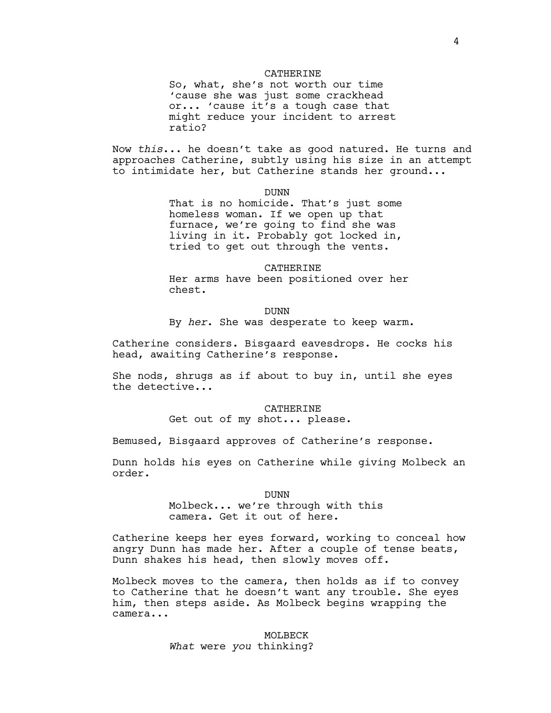#### CATHERINE

So, what, she's not worth our time 'cause she was just some crackhead or... 'cause it's a tough case that might reduce your incident to arrest ratio?

Now *this*... he doesn't take as good natured. He turns and approaches Catherine, subtly using his size in an attempt to intimidate her, but Catherine stands her ground...

DUNN

That is no homicide. That's just some homeless woman. If we open up that furnace, we're going to find she was living in it. Probably got locked in, tried to get out through the vents.

CATHERINE Her arms have been positioned over her chest.

DUNN By *her*. She was desperate to keep warm.

Catherine considers. Bisgaard eavesdrops. He cocks his head, awaiting Catherine's response.

She nods, shrugs as if about to buy in, until she eyes the detective...

CATHERINE

Get out of my shot... please.

Bemused, Bisgaard approves of Catherine's response.

Dunn holds his eyes on Catherine while giving Molbeck an order.

DUNN

Molbeck... we're through with this camera. Get it out of here.

Catherine keeps her eyes forward, working to conceal how angry Dunn has made her. After a couple of tense beats, Dunn shakes his head, then slowly moves off.

Molbeck moves to the camera, then holds as if to convey to Catherine that he doesn't want any trouble. She eyes him, then steps aside. As Molbeck begins wrapping the camera...

### MOLBECK

*What* were *you* thinking?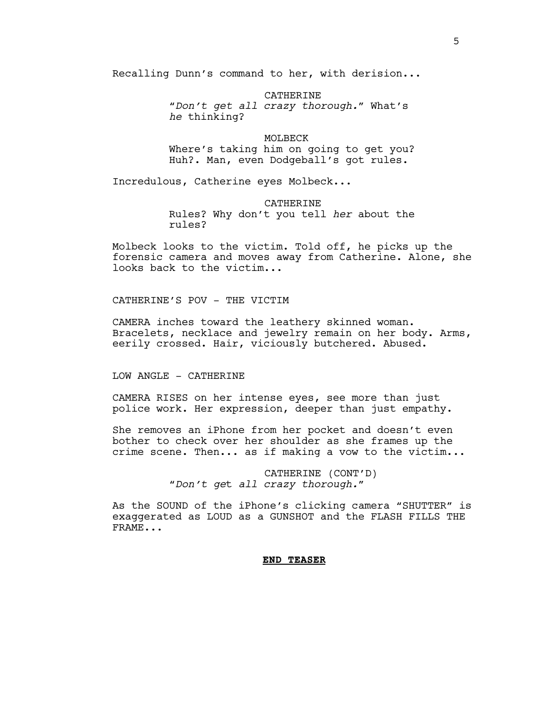Recalling Dunn's command to her, with derision...

CATHERINE "*Don't get all crazy thorough.*" What's *he* thinking?

MOLBECK Where's taking him on going to get you? Huh?. Man, even Dodgeball's got rules.

Incredulous, Catherine eyes Molbeck...

CATHERINE Rules? Why don't you tell *her* about the rules?

Molbeck looks to the victim. Told off, he picks up the forensic camera and moves away from Catherine. Alone, she looks back to the victim...

CATHERINE'S POV - THE VICTIM

CAMERA inches toward the leathery skinned woman. Bracelets, necklace and jewelry remain on her body. Arms, eerily crossed. Hair, viciously butchered. Abused.

LOW ANGLE - CATHERINE

CAMERA RISES on her intense eyes, see more than just police work. Her expression, deeper than just empathy.

She removes an iPhone from her pocket and doesn't even bother to check over her shoulder as she frames up the crime scene. Then... as if making a vow to the victim...

> CATHERINE (CONT'D) "*Don't ge*t *all crazy thorough.*"

As the SOUND of the iPhone's clicking camera "SHUTTER" is exaggerated as LOUD as a GUNSHOT and the FLASH FILLS THE FRAME...

### **END TEASER**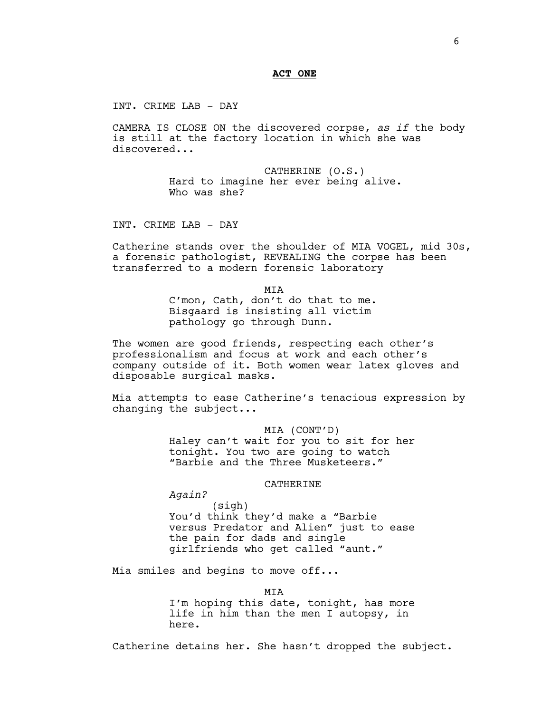## **ACT ONE**

INT. CRIME LAB - DAY

CAMERA IS CLOSE ON the discovered corpse, *as if* the body is still at the factory location in which she was discovered...

> CATHERINE (O.S.) Hard to imagine her ever being alive. Who was she?

INT. CRIME LAB - DAY

Catherine stands over the shoulder of MIA VOGEL, mid 30s, a forensic pathologist, REVEALING the corpse has been transferred to a modern forensic laboratory

**MTA** 

C'mon, Cath, don't do that to me. Bisgaard is insisting all victim pathology go through Dunn.

The women are good friends, respecting each other's professionalism and focus at work and each other's company outside of it. Both women wear latex gloves and disposable surgical masks.

Mia attempts to ease Catherine's tenacious expression by changing the subject...

> MIA (CONT'D) Haley can't wait for you to sit for her tonight. You two are going to watch "Barbie and the Three Musketeers."

### CATHERINE

*Again?*

(sigh) You'd think they'd make a "Barbie versus Predator and Alien" just to ease the pain for dads and single girlfriends who get called "aunt."

Mia smiles and begins to move off...

**MTA** I'm hoping this date, tonight, has more life in him than the men I autopsy, in

here.

Catherine detains her. She hasn't dropped the subject.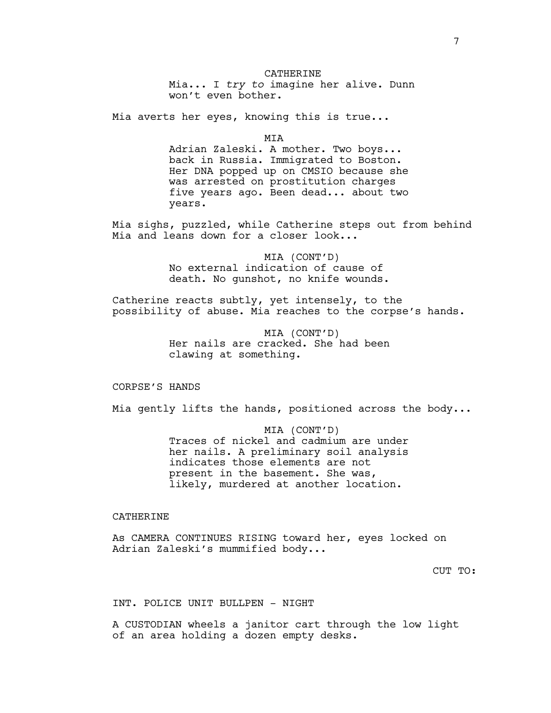### CATHERINE

Mia... I *try to* imagine her alive. Dunn won't even bother.

Mia averts her eyes, knowing this is true...

**MTA** 

Adrian Zaleski. A mother. Two boys... back in Russia. Immigrated to Boston. Her DNA popped up on CMSIO because she was arrested on prostitution charges five years ago. Been dead... about two years.

Mia sighs, puzzled, while Catherine steps out from behind Mia and leans down for a closer look...

> MIA (CONT'D) No external indication of cause of death. No gunshot, no knife wounds.

Catherine reacts subtly, yet intensely, to the possibility of abuse. Mia reaches to the corpse's hands.

> MIA (CONT'D) Her nails are cracked. She had been clawing at something.

CORPSE'S HANDS

Mia gently lifts the hands, positioned across the body...

MIA (CONT'D) Traces of nickel and cadmium are under her nails. A preliminary soil analysis indicates those elements are not present in the basement. She was, likely, murdered at another location.

# CATHERINE

As CAMERA CONTINUES RISING toward her, eyes locked on Adrian Zaleski's mummified body...

CUT TO:

INT. POLICE UNIT BULLPEN - NIGHT

A CUSTODIAN wheels a janitor cart through the low light of an area holding a dozen empty desks.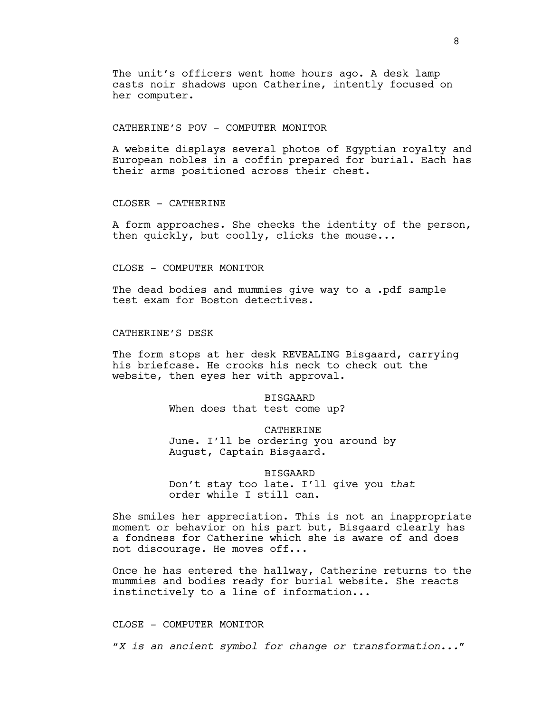The unit's officers went home hours ago. A desk lamp casts noir shadows upon Catherine, intently focused on her computer.

CATHERINE'S POV - COMPUTER MONITOR

A website displays several photos of Egyptian royalty and European nobles in a coffin prepared for burial. Each has their arms positioned across their chest.

CLOSER - CATHERINE

A form approaches. She checks the identity of the person, then quickly, but coolly, clicks the mouse...

CLOSE - COMPUTER MONITOR

The dead bodies and mummies give way to a .pdf sample test exam for Boston detectives.

CATHERINE'S DESK

The form stops at her desk REVEALING Bisgaard, carrying his briefcase. He crooks his neck to check out the website, then eyes her with approval.

> BISGAARD When does that test come up?

## CATHERINE

June. I'll be ordering you around by August, Captain Bisgaard.

BISGAARD

Don't stay too late. I'll give you *that* order while I still can.

She smiles her appreciation. This is not an inappropriate moment or behavior on his part but, Bisgaard clearly has a fondness for Catherine which she is aware of and does not discourage. He moves off...

Once he has entered the hallway, Catherine returns to the mummies and bodies ready for burial website. She reacts instinctively to a line of information...

CLOSE - COMPUTER MONITOR

"*X is an ancient symbol for change or transformation...*"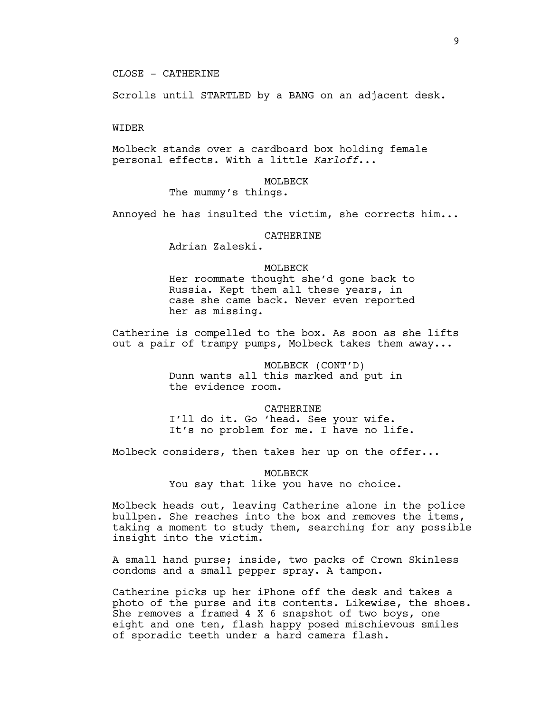### CLOSE - CATHERINE

Scrolls until STARTLED by a BANG on an adjacent desk.

### WIDER

Molbeck stands over a cardboard box holding female personal effects. With a little *Karloff*...

# MOLBECK The mummy's things.

Annoyed he has insulted the victim, she corrects him...

#### CATHERINE

Adrian Zaleski.

### MOLBECK

Her roommate thought she'd gone back to Russia. Kept them all these years, in case she came back. Never even reported her as missing.

Catherine is compelled to the box. As soon as she lifts out a pair of trampy pumps, Molbeck takes them away...

> MOLBECK (CONT'D) Dunn wants all this marked and put in the evidence room.

#### CATHERINE

I'll do it. Go 'head. See your wife. It's no problem for me. I have no life.

Molbeck considers, then takes her up on the offer...

MOLBECK

You say that like you have no choice.

Molbeck heads out, leaving Catherine alone in the police bullpen. She reaches into the box and removes the items, taking a moment to study them, searching for any possible insight into the victim.

A small hand purse; inside, two packs of Crown Skinless condoms and a small pepper spray. A tampon.

Catherine picks up her iPhone off the desk and takes a photo of the purse and its contents. Likewise, the shoes. She removes a framed 4 X 6 snapshot of two boys, one eight and one ten, flash happy posed mischievous smiles of sporadic teeth under a hard camera flash.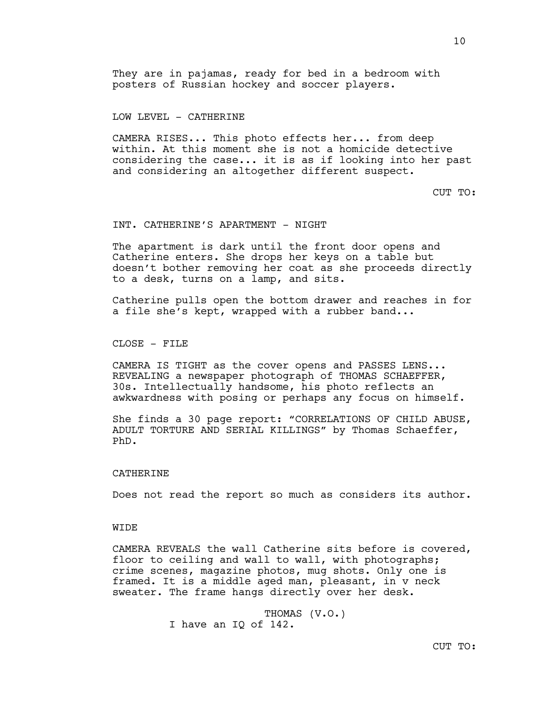# LOW LEVEL - CATHERINE

CAMERA RISES... This photo effects her... from deep within. At this moment she is not a homicide detective considering the case... it is as if looking into her past and considering an altogether different suspect.

CUT TO:

## INT. CATHERINE'S APARTMENT - NIGHT

The apartment is dark until the front door opens and Catherine enters. She drops her keys on a table but doesn't bother removing her coat as she proceeds directly to a desk, turns on a lamp, and sits.

Catherine pulls open the bottom drawer and reaches in for a file she's kept, wrapped with a rubber band...

CLOSE - FILE

CAMERA IS TIGHT as the cover opens and PASSES LENS... REVEALING a newspaper photograph of THOMAS SCHAEFFER, 30s. Intellectually handsome, his photo reflects an awkwardness with posing or perhaps any focus on himself.

She finds a 30 page report: "CORRELATIONS OF CHILD ABUSE, ADULT TORTURE AND SERIAL KILLINGS" by Thomas Schaeffer, PhD.

### **CATHERINE**

Does not read the report so much as considers its author.

### **WIDE**

CAMERA REVEALS the wall Catherine sits before is covered, floor to ceiling and wall to wall, with photographs; crime scenes, magazine photos, mug shots. Only one is framed. It is a middle aged man, pleasant, in v neck sweater. The frame hangs directly over her desk.

> THOMAS (V.O.) I have an IQ of 142.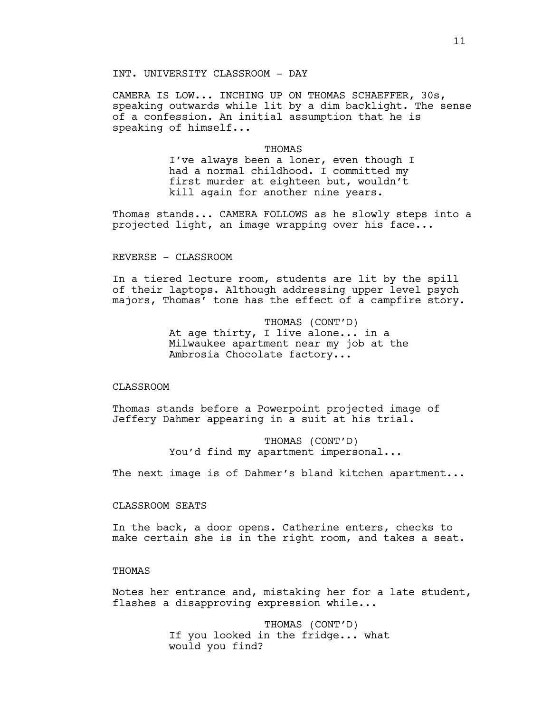## INT. UNIVERSITY CLASSROOM - DAY

CAMERA IS LOW... INCHING UP ON THOMAS SCHAEFFER, 30s, speaking outwards while lit by a dim backlight. The sense of a confession. An initial assumption that he is speaking of himself...

#### THOMAS

I've always been a loner, even though I had a normal childhood. I committed my first murder at eighteen but, wouldn't kill again for another nine years.

Thomas stands... CAMERA FOLLOWS as he slowly steps into a projected light, an image wrapping over his face...

# REVERSE - CLASSROOM

In a tiered lecture room, students are lit by the spill of their laptops. Although addressing upper level psych majors, Thomas' tone has the effect of a campfire story.

> THOMAS (CONT'D) At age thirty, I live alone... in a Milwaukee apartment near my job at the Ambrosia Chocolate factory...

#### CLASSROOM

Thomas stands before a Powerpoint projected image of Jeffery Dahmer appearing in a suit at his trial.

> THOMAS (CONT'D) You'd find my apartment impersonal...

The next image is of Dahmer's bland kitchen apartment...

## CLASSROOM SEATS

In the back, a door opens. Catherine enters, checks to make certain she is in the right room, and takes a seat.

## THOMAS

Notes her entrance and, mistaking her for a late student, flashes a disapproving expression while...

> THOMAS (CONT'D) If you looked in the fridge... what would you find?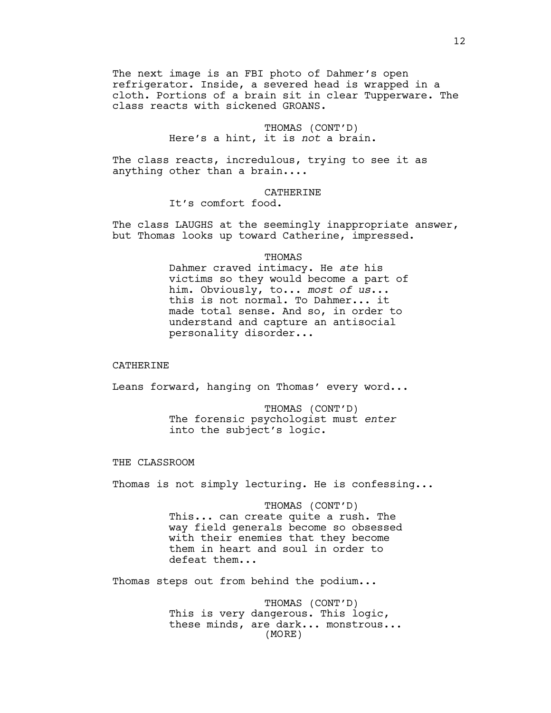The next image is an FBI photo of Dahmer's open refrigerator. Inside, a severed head is wrapped in a cloth. Portions of a brain sit in clear Tupperware. The class reacts with sickened GROANS.

> THOMAS (CONT'D) Here's a hint, it is *not* a brain.

The class reacts, incredulous, trying to see it as anything other than a brain....

CATHERINE

It's comfort food.

The class LAUGHS at the seemingly inappropriate answer, but Thomas looks up toward Catherine, impressed.

THOMAS

Dahmer craved intimacy. He *ate* his victims so they would become a part of him. Obviously, to... *most of us*... this is not normal. To Dahmer... it made total sense. And so, in order to understand and capture an antisocial personality disorder...

## CATHERINE

Leans forward, hanging on Thomas' every word...

THOMAS (CONT'D) The forensic psychologist must *enter* into the subject's logic.

### THE CLASSROOM

Thomas is not simply lecturing. He is confessing...

THOMAS (CONT'D) This... can create quite a rush. The way field generals become so obsessed with their enemies that they become them in heart and soul in order to defeat them...

Thomas steps out from behind the podium...

THOMAS (CONT'D) This is very dangerous. This logic, these minds, are dark... monstrous... (MORE)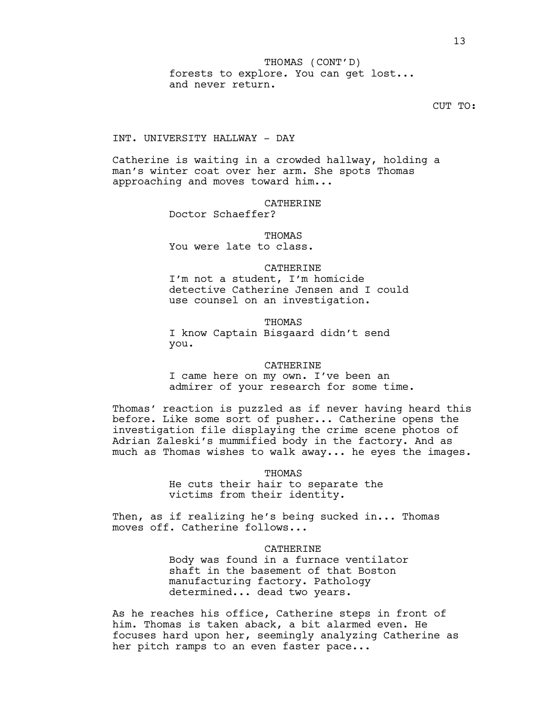13

forests to explore. You can get lost... and never return. THOMAS (CONT'D)

CUT TO:

# INT. UNIVERSITY HALLWAY - DAY

Catherine is waiting in a crowded hallway, holding a man's winter coat over her arm. She spots Thomas approaching and moves toward him...

### CATHERINE

Doctor Schaeffer?

# **THOMAS** You were late to class.

#### CATHERINE

I'm not a student, I'm homicide detective Catherine Jensen and I could use counsel on an investigation.

### THOMAS

I know Captain Bisgaard didn't send you.

#### CATHERINE

I came here on my own. I've been an admirer of your research for some time.

Thomas' reaction is puzzled as if never having heard this before. Like some sort of pusher... Catherine opens the investigation file displaying the crime scene photos of Adrian Zaleski's mummified body in the factory. And as much as Thomas wishes to walk away... he eyes the images.

#### **THOMAS**

He cuts their hair to separate the victims from their identity.

Then, as if realizing he's being sucked in... Thomas moves off. Catherine follows...

### CATHERINE

Body was found in a furnace ventilator shaft in the basement of that Boston manufacturing factory. Pathology determined... dead two years.

As he reaches his office, Catherine steps in front of him. Thomas is taken aback, a bit alarmed even. He focuses hard upon her, seemingly analyzing Catherine as her pitch ramps to an even faster pace...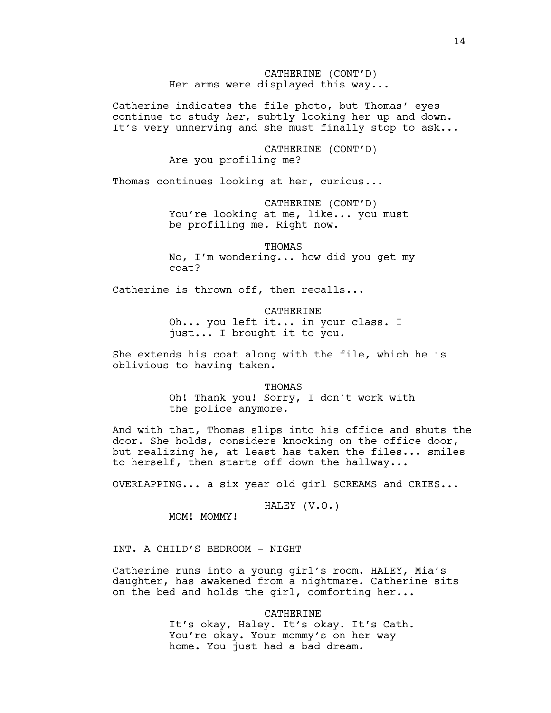CATHERINE (CONT'D) Her arms were displayed this way...

Catherine indicates the file photo, but Thomas' eyes continue to study *her*, subtly looking her up and down. It's very unnerving and she must finally stop to ask...

> CATHERINE (CONT'D) Are you profiling me?

Thomas continues looking at her, curious...

CATHERINE (CONT'D) You're looking at me, like... you must be profiling me. Right now.

THOMAS

No, I'm wondering... how did you get my coat?

Catherine is thrown off, then recalls...

CATHERINE Oh... you left it... in your class. I just... I brought it to you.

She extends his coat along with the file, which he is oblivious to having taken.

> THOMAS Oh! Thank you! Sorry, I don't work with the police anymore.

And with that, Thomas slips into his office and shuts the door. She holds, considers knocking on the office door, but realizing he, at least has taken the files... smiles to herself, then starts off down the hallway...

OVERLAPPING... a six year old girl SCREAMS and CRIES...

HALEY (V.O.)

MOM! MOMMY!

INT. A CHILD'S BEDROOM - NIGHT

Catherine runs into a young girl's room. HALEY, Mia's daughter, has awakened from a nightmare. Catherine sits on the bed and holds the girl, comforting her...

> CATHERINE It's okay, Haley. It's okay. It's Cath. You're okay. Your mommy's on her way home. You just had a bad dream.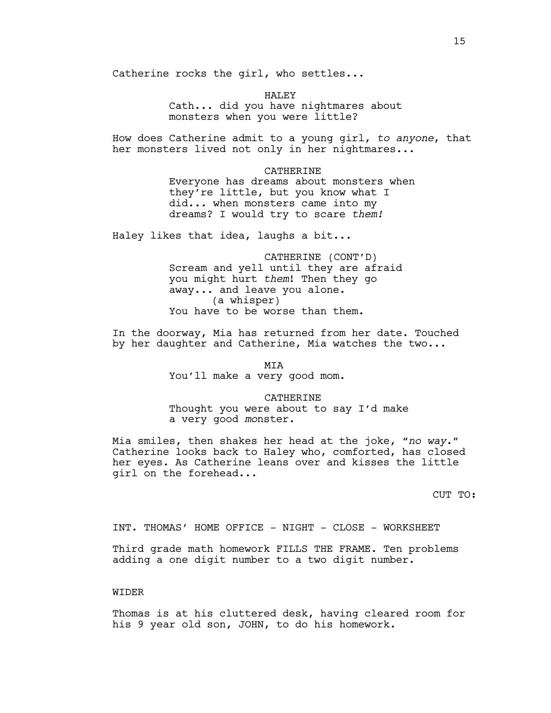Catherine rocks the girl, who settles...

HALEY Cath... did you have nightmares about monsters when you were little?

How does Catherine admit to a young girl, *to anyone*, that her monsters lived not only in her nightmares...

> CATHERINE Everyone has dreams about monsters when they're little, but you know what I did... when monsters came into my dreams? I would try to scare *them!*

Haley likes that idea, laughs a bit...

CATHERINE (CONT'D) Scream and yell until they are afraid you might hurt *them*! Then they go away... and leave you alone. (a whisper) You have to be worse than them.

In the doorway, Mia has returned from her date. Touched by her daughter and Catherine, Mia watches the two...

> MIA You'll make a very good mom.

> > CATHERINE

Thought you were about to say I'd make a very good *mo*nster.

Mia smiles, then shakes her head at the joke, "*no way*." Catherine looks back to Haley who, comforted, has closed her eyes. As Catherine leans over and kisses the little girl on the forehead...

CUT TO:

INT. THOMAS' HOME OFFICE - NIGHT - CLOSE - WORKSHEET

Third grade math homework FILLS THE FRAME. Ten problems adding a one digit number to a two digit number.

WIDER

Thomas is at his cluttered desk, having cleared room for his 9 year old son, JOHN, to do his homework.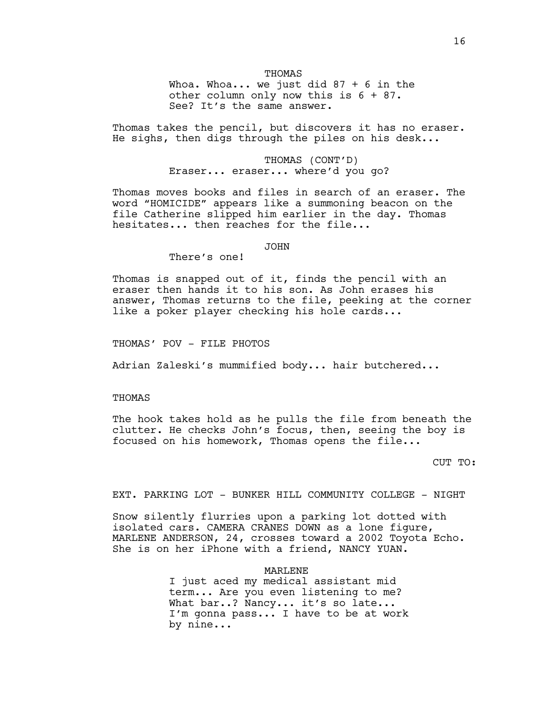### THOMAS

Whoa. Whoa... we just did  $87 + 6$  in the other column only now this is 6 + 87. See? It's the same answer.

Thomas takes the pencil, but discovers it has no eraser. He sighs, then digs through the piles on his desk...

> THOMAS (CONT'D) Eraser... eraser... where'd you go?

Thomas moves books and files in search of an eraser. The word "HOMICIDE" appears like a summoning beacon on the file Catherine slipped him earlier in the day. Thomas hesitates... then reaches for the file...

#### JOHN

# There's one!

Thomas is snapped out of it, finds the pencil with an eraser then hands it to his son. As John erases his answer, Thomas returns to the file, peeking at the corner like a poker player checking his hole cards...

THOMAS' POV - FILE PHOTOS

Adrian Zaleski's mummified body... hair butchered...

### THOMAS

The hook takes hold as he pulls the file from beneath the clutter. He checks John's focus, then, seeing the boy is focused on his homework, Thomas opens the file...

CUT TO:

EXT. PARKING LOT - BUNKER HILL COMMUNITY COLLEGE - NIGHT

Snow silently flurries upon a parking lot dotted with isolated cars. CAMERA CRANES DOWN as a lone figure, MARLENE ANDERSON, 24, crosses toward a 2002 Toyota Echo. She is on her iPhone with a friend, NANCY YUAN.

MARLENE

I just aced my medical assistant mid term... Are you even listening to me? What bar..? Nancy... it's so late... I'm gonna pass... I have to be at work by nine...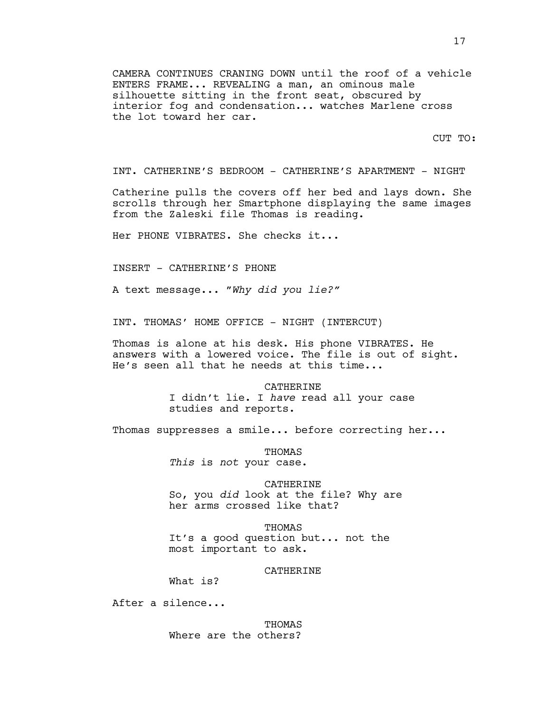CAMERA CONTINUES CRANING DOWN until the roof of a vehicle ENTERS FRAME... REVEALING a man, an ominous male silhouette sitting in the front seat, obscured by interior fog and condensation... watches Marlene cross the lot toward her car.

CUT TO:

INT. CATHERINE'S BEDROOM - CATHERINE'S APARTMENT - NIGHT

Catherine pulls the covers off her bed and lays down. She scrolls through her Smartphone displaying the same images from the Zaleski file Thomas is reading.

Her PHONE VIBRATES. She checks it...

INSERT - CATHERINE'S PHONE

A text message... "*Why did you lie?"*

INT. THOMAS' HOME OFFICE - NIGHT (INTERCUT)

Thomas is alone at his desk. His phone VIBRATES. He answers with a lowered voice. The file is out of sight. He's seen all that he needs at this time...

> CATHERINE I didn't lie. I *have* read all your case studies and reports.

Thomas suppresses a smile... before correcting her...

THOMAS *This* is *not* your case.

CATHERINE So, you *did* look at the file? Why are her arms crossed like that?

THOMAS It's a good question but... not the most important to ask.

### CATHERINE

What is?

After a silence...

THOMAS Where are the others?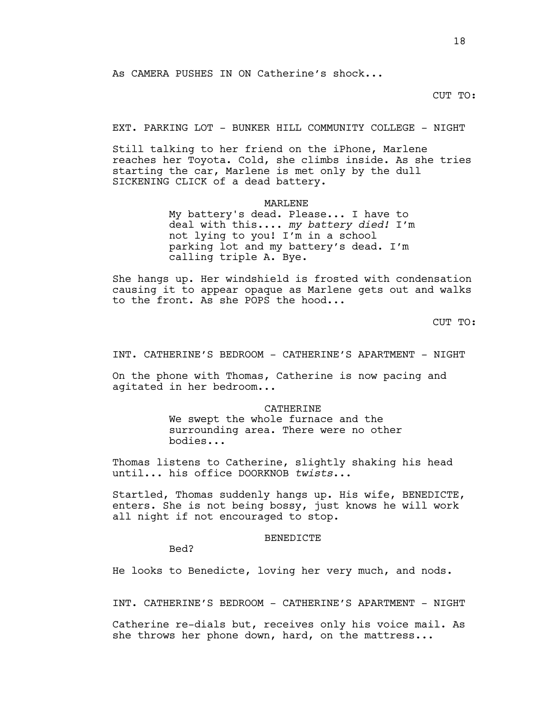## CUT TO:

EXT. PARKING LOT - BUNKER HILL COMMUNITY COLLEGE - NIGHT

Still talking to her friend on the iPhone, Marlene reaches her Toyota. Cold, she climbs inside. As she tries starting the car, Marlene is met only by the dull SICKENING CLICK of a dead battery.

MARLENE

My battery's dead. Please... I have to deal with this.... *my battery died!* I'm not lying to you! I'm in a school parking lot and my battery's dead. I'm calling triple A. Bye.

She hangs up. Her windshield is frosted with condensation causing it to appear opaque as Marlene gets out and walks to the front. As she POPS the hood...

CUT TO:

INT. CATHERINE'S BEDROOM - CATHERINE'S APARTMENT - NIGHT

On the phone with Thomas, Catherine is now pacing and agitated in her bedroom...

> CATHERINE We swept the whole furnace and the surrounding area. There were no other bodies...

Thomas listens to Catherine, slightly shaking his head until... his office DOORKNOB *twists*...

Startled, Thomas suddenly hangs up. His wife, BENEDICTE, enters. She is not being bossy, just knows he will work all night if not encouraged to stop.

### BENEDICTE

Bed?

He looks to Benedicte, loving her very much, and nods.

INT. CATHERINE'S BEDROOM - CATHERINE'S APARTMENT - NIGHT

Catherine re-dials but, receives only his voice mail. As she throws her phone down, hard, on the mattress...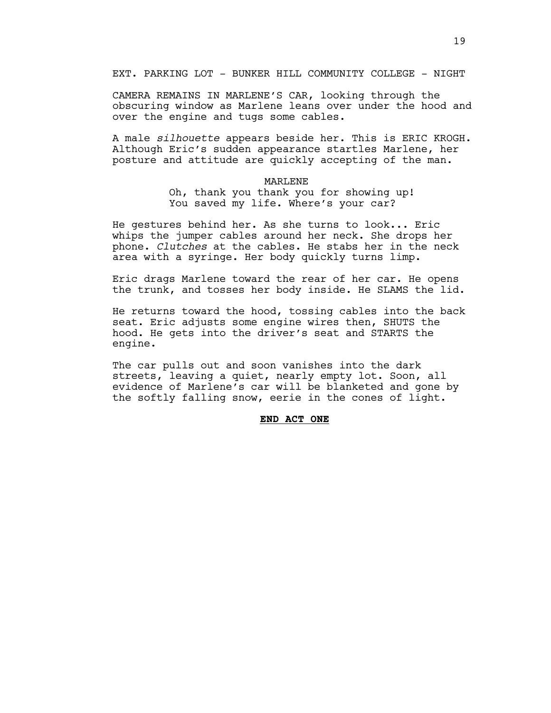EXT. PARKING LOT - BUNKER HILL COMMUNITY COLLEGE - NIGHT

CAMERA REMAINS IN MARLENE'S CAR, looking through the obscuring window as Marlene leans over under the hood and over the engine and tugs some cables.

A male *silhouette* appears beside her. This is ERIC KROGH. Although Eric's sudden appearance startles Marlene, her posture and attitude are quickly accepting of the man.

#### MARLENE

Oh, thank you thank you for showing up! You saved my life. Where's your car?

He gestures behind her. As she turns to look... Eric whips the jumper cables around her neck. She drops her phone. *Clutches* at the cables. He stabs her in the neck area with a syringe. Her body quickly turns limp.

Eric drags Marlene toward the rear of her car. He opens the trunk, and tosses her body inside. He SLAMS the lid.

He returns toward the hood, tossing cables into the back seat. Eric adjusts some engine wires then, SHUTS the hood. He gets into the driver's seat and STARTS the engine.

The car pulls out and soon vanishes into the dark streets, leaving a quiet, nearly empty lot. Soon, all evidence of Marlene's car will be blanketed and gone by the softly falling snow, eerie in the cones of light.

# **END ACT ONE**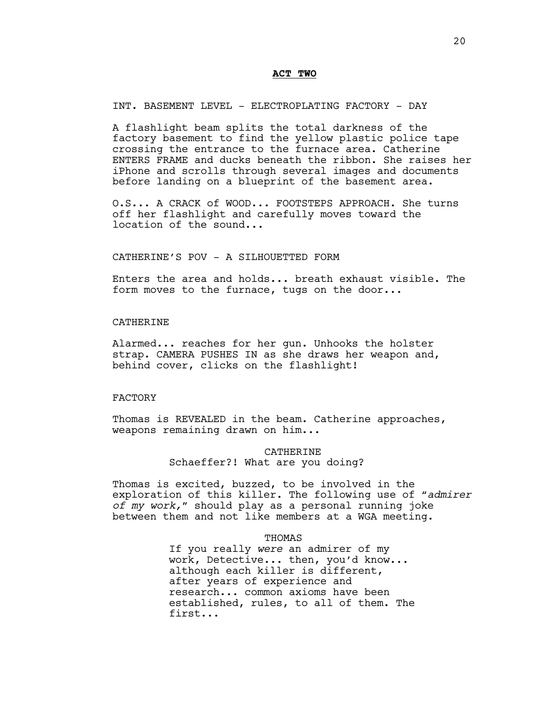### **ACT TWO**

INT. BASEMENT LEVEL - ELECTROPLATING FACTORY - DAY

A flashlight beam splits the total darkness of the factory basement to find the yellow plastic police tape crossing the entrance to the furnace area. Catherine ENTERS FRAME and ducks beneath the ribbon. She raises her iPhone and scrolls through several images and documents before landing on a blueprint of the basement area.

O.S... A CRACK of WOOD... FOOTSTEPS APPROACH. She turns off her flashlight and carefully moves toward the location of the sound...

## CATHERINE'S POV - A SILHOUETTED FORM

Enters the area and holds... breath exhaust visible. The form moves to the furnace, tugs on the door...

### CATHERINE

Alarmed... reaches for her gun. Unhooks the holster strap. CAMERA PUSHES IN as she draws her weapon and, behind cover, clicks on the flashlight!

### FACTORY

Thomas is REVEALED in the beam. Catherine approaches, weapons remaining drawn on him...

# CATHERINE Schaeffer?! What are you doing?

Thomas is excited, buzzed, to be involved in the exploration of this killer. The following use of "*admirer of my work,*" should play as a personal running joke between them and not like members at a WGA meeting.

### **THOMAS**

If you really *were* an admirer of my work, Detective... then, you'd know... although each killer is different, after years of experience and research... common axioms have been established, rules, to all of them. The first...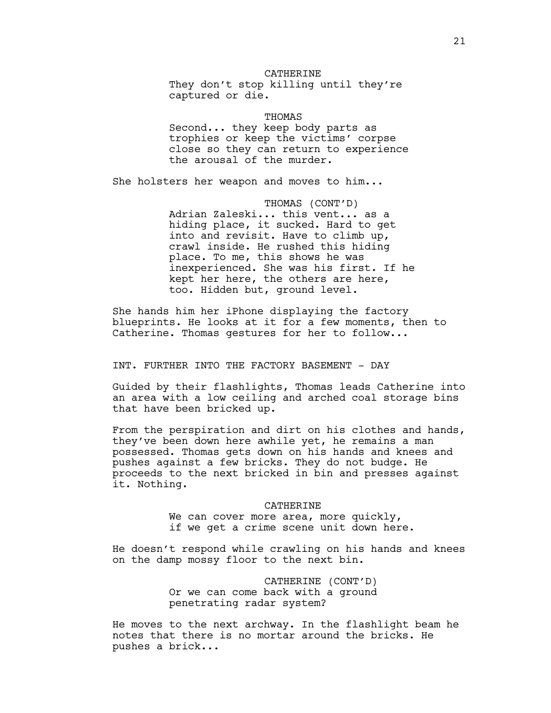### CATHERINE

They don't stop killing until they're captured or die.

THOMAS Second... they keep body parts as trophies or keep the victims' corpse close so they can return to experience the arousal of the murder.

She holsters her weapon and moves to him...

THOMAS (CONT'D) Adrian Zaleski... this vent... as a hiding place, it sucked. Hard to get into and revisit. Have to climb up, crawl inside. He rushed this hiding place. To me, this shows he was inexperienced. She was his first. If he kept her here, the others are here, too. Hidden but, ground level.

She hands him her iPhone displaying the factory blueprints. He looks at it for a few moments, then to Catherine. Thomas gestures for her to follow...

INT. FURTHER INTO THE FACTORY BASEMENT - DAY

Guided by their flashlights, Thomas leads Catherine into an area with a low ceiling and arched coal storage bins that have been bricked up.

From the perspiration and dirt on his clothes and hands, they've been down here awhile yet, he remains a man possessed. Thomas gets down on his hands and knees and pushes against a few bricks. They do not budge. He proceeds to the next bricked in bin and presses against it. Nothing.

#### CATHERINE

We can cover more area, more quickly, if we get a crime scene unit down here.

He doesn't respond while crawling on his hands and knees on the damp mossy floor to the next bin.

> CATHERINE (CONT'D) Or we can come back with a ground penetrating radar system?

He moves to the next archway. In the flashlight beam he notes that there is no mortar around the bricks. He pushes a brick...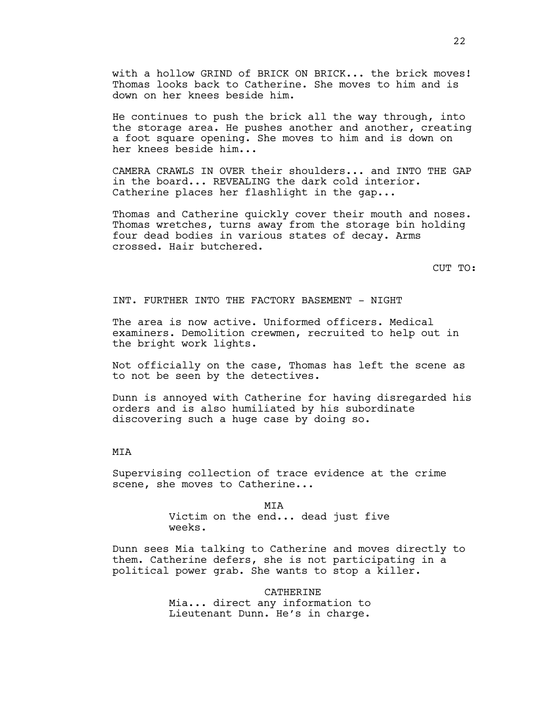with a hollow GRIND of BRICK ON BRICK... the brick moves! Thomas looks back to Catherine. She moves to him and is down on her knees beside him.

He continues to push the brick all the way through, into the storage area. He pushes another and another, creating a foot square opening. She moves to him and is down on her knees beside him...

CAMERA CRAWLS IN OVER their shoulders... and INTO THE GAP in the board... REVEALING the dark cold interior. Catherine places her flashlight in the gap...

Thomas and Catherine quickly cover their mouth and noses. Thomas wretches, turns away from the storage bin holding four dead bodies in various states of decay. Arms crossed. Hair butchered.

CUT TO:

INT. FURTHER INTO THE FACTORY BASEMENT - NIGHT

The area is now active. Uniformed officers. Medical examiners. Demolition crewmen, recruited to help out in the bright work lights.

Not officially on the case, Thomas has left the scene as to not be seen by the detectives.

Dunn is annoyed with Catherine for having disregarded his orders and is also humiliated by his subordinate discovering such a huge case by doing so.

# MIA

Supervising collection of trace evidence at the crime scene, she moves to Catherine...

> MIA Victim on the end... dead just five weeks.

Dunn sees Mia talking to Catherine and moves directly to them. Catherine defers, she is not participating in a political power grab. She wants to stop a killer.

> **CATHERINE** Mia... direct any information to Lieutenant Dunn. He's in charge.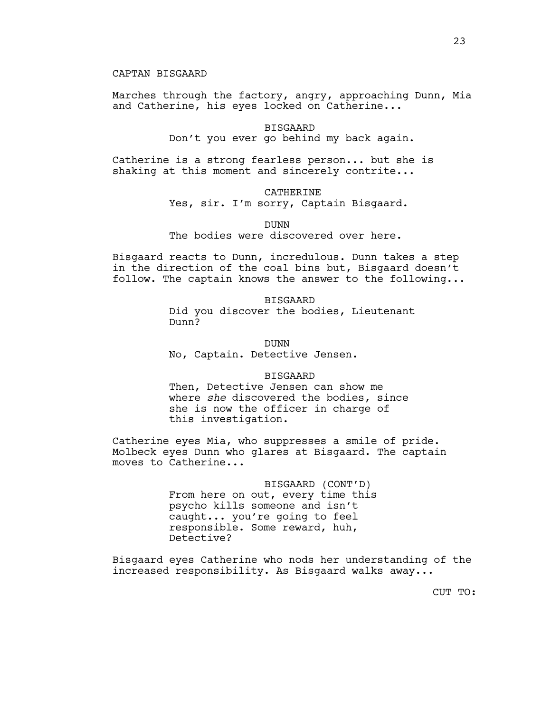Marches through the factory, angry, approaching Dunn, Mia and Catherine, his eyes locked on Catherine...

> BISGAARD Don't you ever go behind my back again.

Catherine is a strong fearless person... but she is shaking at this moment and sincerely contrite...

### CATHERINE

Yes, sir. I'm sorry, Captain Bisgaard.

DUNN

The bodies were discovered over here.

Bisgaard reacts to Dunn, incredulous. Dunn takes a step in the direction of the coal bins but, Bisgaard doesn't follow. The captain knows the answer to the following...

> BISGAARD Did you discover the bodies, Lieutenant Dunn?

DUNN No, Captain. Detective Jensen.

### BISGAARD

Then, Detective Jensen can show me where *she* discovered the bodies, since she is now the officer in charge of this investigation.

Catherine eyes Mia, who suppresses a smile of pride. Molbeck eyes Dunn who glares at Bisgaard. The captain moves to Catherine...

> BISGAARD (CONT'D) From here on out, every time this psycho kills someone and isn't caught... you're going to feel responsible. Some reward, huh, Detective?

Bisgaard eyes Catherine who nods her understanding of the increased responsibility. As Bisgaard walks away...

CUT TO: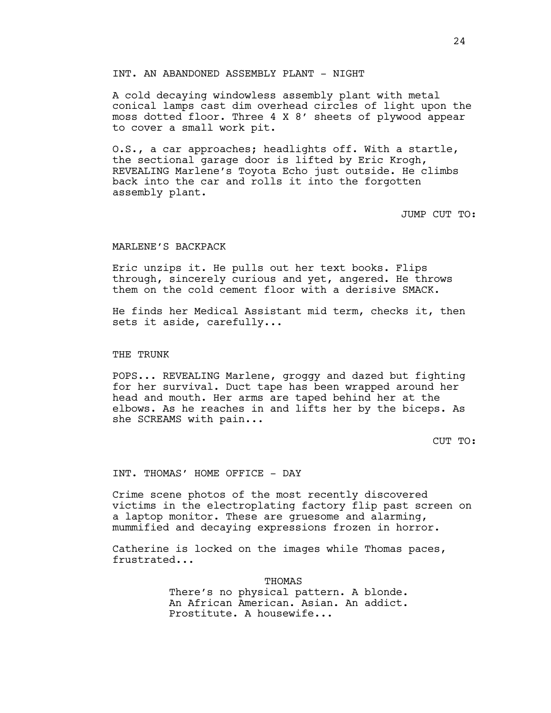### INT. AN ABANDONED ASSEMBLY PLANT - NIGHT

A cold decaying windowless assembly plant with metal conical lamps cast dim overhead circles of light upon the moss dotted floor. Three 4 X 8' sheets of plywood appear to cover a small work pit.

O.S., a car approaches; headlights off. With a startle, the sectional garage door is lifted by Eric Krogh, REVEALING Marlene's Toyota Echo just outside. He climbs back into the car and rolls it into the forgotten assembly plant.

JUMP CUT TO:

### MARLENE'S BACKPACK

Eric unzips it. He pulls out her text books. Flips through, sincerely curious and yet, angered. He throws them on the cold cement floor with a derisive SMACK.

He finds her Medical Assistant mid term, checks it, then sets it aside, carefully...

### THE TRUNK

POPS... REVEALING Marlene, groggy and dazed but fighting for her survival. Duct tape has been wrapped around her head and mouth. Her arms are taped behind her at the elbows. As he reaches in and lifts her by the biceps. As she SCREAMS with pain...

CUT TO:

INT. THOMAS' HOME OFFICE - DAY

Crime scene photos of the most recently discovered victims in the electroplating factory flip past screen on a laptop monitor. These are gruesome and alarming, mummified and decaying expressions frozen in horror.

Catherine is locked on the images while Thomas paces, frustrated...

> THOMAS There's no physical pattern. A blonde. An African American. Asian. An addict. Prostitute. A housewife...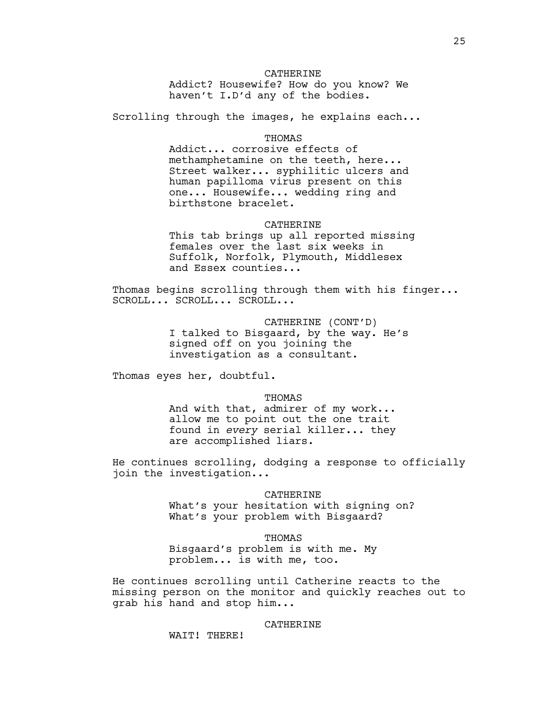## CATHERINE

Addict? Housewife? How do you know? We haven't I.D'd any of the bodies.

Scrolling through the images, he explains each...

# **THOMAS**

Addict... corrosive effects of methamphetamine on the teeth, here... Street walker... syphilitic ulcers and human papilloma virus present on this one... Housewife... wedding ring and birthstone bracelet.

#### CATHERINE

This tab brings up all reported missing females over the last six weeks in Suffolk, Norfolk, Plymouth, Middlesex and Essex counties...

Thomas begins scrolling through them with his finger... SCROLL... SCROLL... SCROLL...

> CATHERINE (CONT'D) I talked to Bisgaard, by the way. He's signed off on you joining the investigation as a consultant.

Thomas eyes her, doubtful.

**THOMAS** 

And with that, admirer of my work... allow me to point out the one trait found in *every* serial killer... they are accomplished liars.

He continues scrolling, dodging a response to officially join the investigation...

### CATHERINE

What's your hesitation with signing on? What's your problem with Bisgaard?

#### THOMAS

Bisgaard's problem is with me. My problem... is with me, too.

He continues scrolling until Catherine reacts to the missing person on the monitor and quickly reaches out to grab his hand and stop him...

CATHERINE

WAIT! THERE!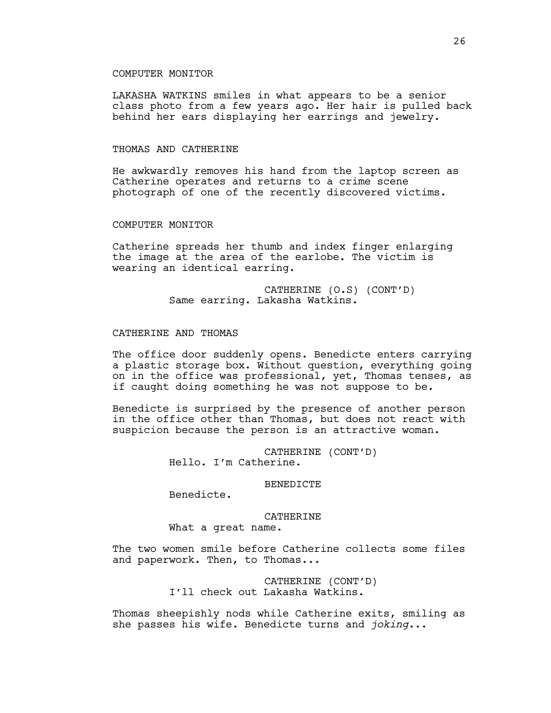### COMPUTER MONITOR

LAKASHA WATKINS smiles in what appears to be a senior class photo from a few years ago. Her hair is pulled back behind her ears displaying her earrings and jewelry.

### THOMAS AND CATHERINE

He awkwardly removes his hand from the laptop screen as Catherine operates and returns to a crime scene photograph of one of the recently discovered victims.

## COMPUTER MONITOR

Catherine spreads her thumb and index finger enlarging the image at the area of the earlobe. The victim is wearing an identical earring.

> CATHERINE (O.S) (CONT'D) Same earring. Lakasha Watkins.

## CATHERINE AND THOMAS

The office door suddenly opens. Benedicte enters carrying a plastic storage box. Without question, everything going on in the office was professional, yet, Thomas tenses, as if caught doing something he was not suppose to be.

Benedicte is surprised by the presence of another person in the office other than Thomas, but does not react with suspicion because the person is an attractive woman.

> CATHERINE (CONT'D) Hello. I'm Catherine.

### BENEDICTE

Benedicte.

## CATHERINE

What a great name.

The two women smile before Catherine collects some files and paperwork. Then, to Thomas...

> CATHERINE (CONT'D) I'll check out Lakasha Watkins.

Thomas sheepishly nods while Catherine exits, smiling as she passes his wife. Benedicte turns and *joking*...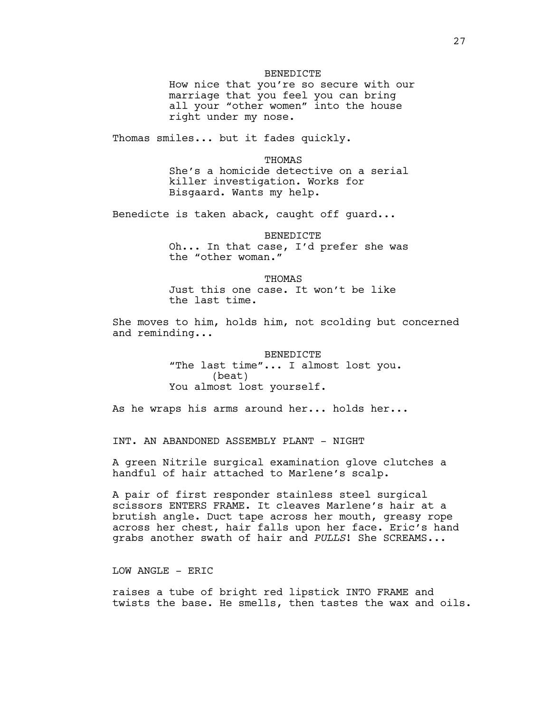### BENEDICTE

How nice that you're so secure with our marriage that you feel you can bring all your "other women" into the house right under my nose.

Thomas smiles... but it fades quickly.

#### **THOMAS**

She's a homicide detective on a serial killer investigation. Works for Bisgaard. Wants my help.

Benedicte is taken aback, caught off guard...

BENEDICTE Oh... In that case, I'd prefer she was the "other woman."

**THOMAS** 

Just this one case. It won't be like the last time.

She moves to him, holds him, not scolding but concerned and reminding...

> **BENEDICTE** "The last time"... I almost lost you. (beat) You almost lost yourself.

As he wraps his arms around her... holds her...

INT. AN ABANDONED ASSEMBLY PLANT - NIGHT

A green Nitrile surgical examination glove clutches a handful of hair attached to Marlene's scalp.

A pair of first responder stainless steel surgical scissors ENTERS FRAME. It cleaves Marlene's hair at a brutish angle. Duct tape across her mouth, greasy rope across her chest, hair falls upon her face. Eric's hand grabs another swath of hair and *PULLS*! She SCREAMS...

LOW ANGLE - ERIC

raises a tube of bright red lipstick INTO FRAME and twists the base. He smells, then tastes the wax and oils.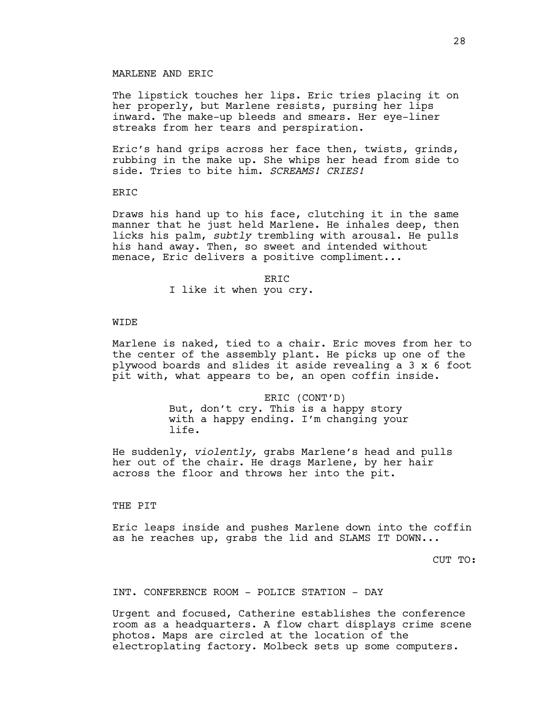## MARLENE AND ERIC

The lipstick touches her lips. Eric tries placing it on her properly, but Marlene resists, pursing her lips inward. The make-up bleeds and smears. Her eye-liner streaks from her tears and perspiration.

Eric's hand grips across her face then, twists, grinds, rubbing in the make up. She whips her head from side to side. Tries to bite him. *SCREAMS! CRIES!*

### ERIC

Draws his hand up to his face, clutching it in the same manner that he just held Marlene. He inhales deep, then licks his palm, *subtly* trembling with arousal. He pulls his hand away. Then, so sweet and intended without menace, Eric delivers a positive compliment...

**ERTC** 

I like it when you cry.

## WIDE

Marlene is naked, tied to a chair. Eric moves from her to the center of the assembly plant. He picks up one of the plywood boards and slides it aside revealing a 3 x 6 foot pit with, what appears to be, an open coffin inside.

> ERIC (CONT'D) But, don't cry. This is a happy story with a happy ending. I'm changing your life.

He suddenly, *violently,* grabs Marlene's head and pulls her out of the chair. He drags Marlene, by her hair across the floor and throws her into the pit.

THE PIT

Eric leaps inside and pushes Marlene down into the coffin as he reaches up, grabs the lid and SLAMS IT DOWN...

CUT TO:

INT. CONFERENCE ROOM - POLICE STATION - DAY

Urgent and focused, Catherine establishes the conference room as a headquarters. A flow chart displays crime scene photos. Maps are circled at the location of the electroplating factory. Molbeck sets up some computers.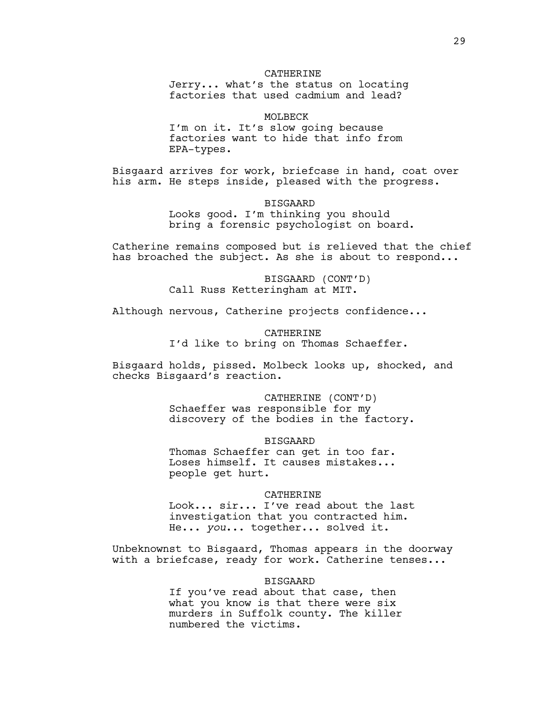### CATHERINE

Jerry... what's the status on locating factories that used cadmium and lead?

MOLBECK

I'm on it. It's slow going because factories want to hide that info from EPA-types.

Bisgaard arrives for work, briefcase in hand, coat over his arm. He steps inside, pleased with the progress.

BISGAARD

Looks good. I'm thinking you should bring a forensic psychologist on board.

Catherine remains composed but is relieved that the chief has broached the subject. As she is about to respond...

> BISGAARD (CONT'D) Call Russ Ketteringham at MIT.

Although nervous, Catherine projects confidence...

CATHERINE I'd like to bring on Thomas Schaeffer.

Bisgaard holds, pissed. Molbeck looks up, shocked, and checks Bisgaard's reaction.

> CATHERINE (CONT'D) Schaeffer was responsible for my discovery of the bodies in the factory.

> > BISGAARD

Thomas Schaeffer can get in too far. Loses himself. It causes mistakes... people get hurt.

**CATHERINE** 

Look... sir... I've read about the last investigation that you contracted him. He... *you*... together... solved it.

Unbeknownst to Bisgaard, Thomas appears in the doorway with a briefcase, ready for work. Catherine tenses...

BISGAARD

If you've read about that case, then what you know is that there were six murders in Suffolk county. The killer numbered the victims.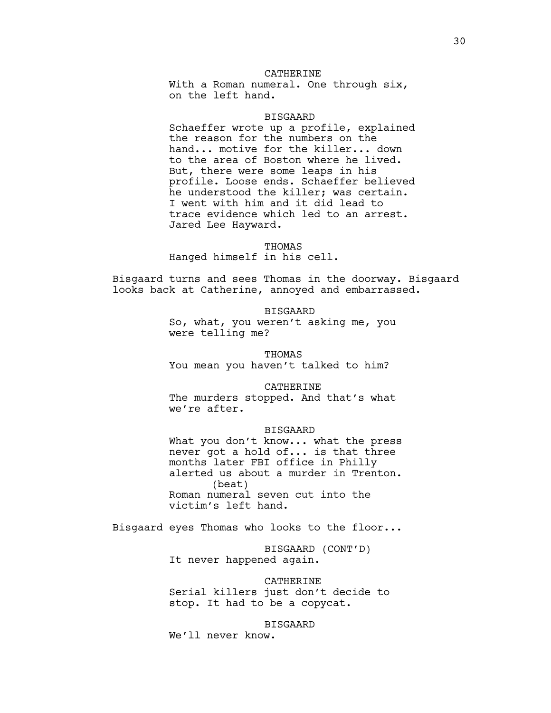### CATHERINE

With a Roman numeral. One through six, on the left hand.

### BISGAARD

Schaeffer wrote up a profile, explained the reason for the numbers on the hand... motive for the killer... down to the area of Boston where he lived. But, there were some leaps in his profile. Loose ends. Schaeffer believed he understood the killer; was certain. I went with him and it did lead to trace evidence which led to an arrest. Jared Lee Hayward.

#### THOMAS

Hanged himself in his cell.

Bisgaard turns and sees Thomas in the doorway. Bisgaard looks back at Catherine, annoyed and embarrassed.

## BISGAARD

So, what, you weren't asking me, you were telling me?

THOMAS You mean you haven't talked to him?

#### CATHERINE

The murders stopped. And that's what we're after.

#### BISGAARD

What you don't know... what the press never got a hold of... is that three months later FBI office in Philly alerted us about a murder in Trenton. (beat) Roman numeral seven cut into the victim's left hand.

Bisgaard eyes Thomas who looks to the floor...

BISGAARD (CONT'D) It never happened again.

CATHERINE Serial killers just don't decide to stop. It had to be a copycat.

BISGAARD

We'll never know.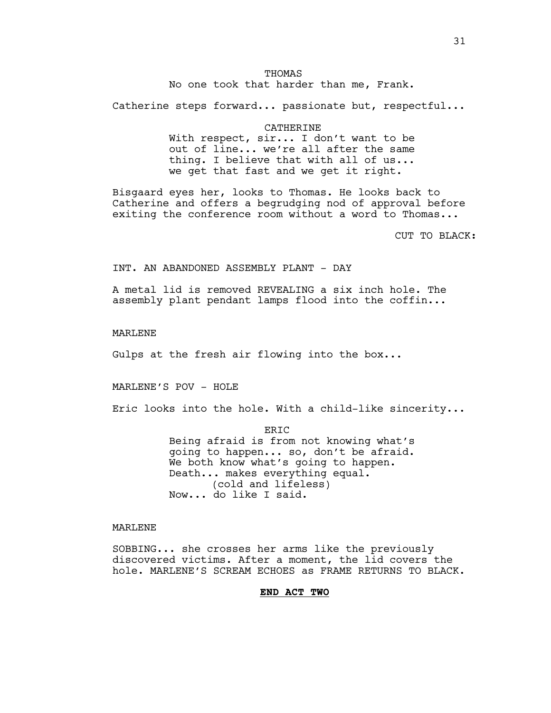# THOMAS

No one took that harder than me, Frank.

Catherine steps forward... passionate but, respectful...

#### CATHERINE

With respect, sir... I don't want to be out of line... we're all after the same thing. I believe that with all of us... we get that fast and we get it right.

Bisgaard eyes her, looks to Thomas. He looks back to Catherine and offers a begrudging nod of approval before exiting the conference room without a word to Thomas...

CUT TO BLACK:

INT. AN ABANDONED ASSEMBLY PLANT - DAY

A metal lid is removed REVEALING a six inch hole. The assembly plant pendant lamps flood into the coffin...

## MARLENE

Gulps at the fresh air flowing into the box...

MARLENE'S POV - HOLE

Eric looks into the hole. With a child-like sincerity...

ERIC

Being afraid is from not knowing what's going to happen... so, don't be afraid. We both know what's going to happen. Death... makes everything equal. (cold and lifeless) Now... do like I said.

# MARLENE

SOBBING... she crosses her arms like the previously discovered victims. After a moment, the lid covers the hole. MARLENE'S SCREAM ECHOES as FRAME RETURNS TO BLACK.

### **END ACT TWO**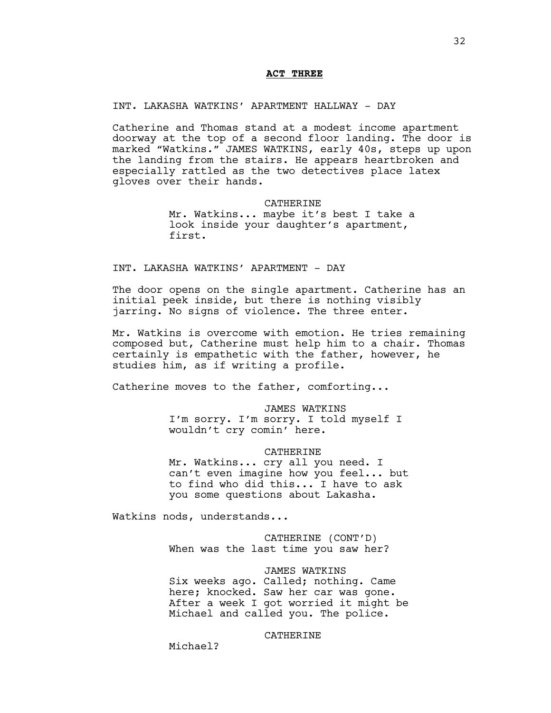## **ACT THREE**

## INT. LAKASHA WATKINS' APARTMENT HALLWAY - DAY

Catherine and Thomas stand at a modest income apartment doorway at the top of a second floor landing. The door is marked "Watkins." JAMES WATKINS, early 40s, steps up upon the landing from the stairs. He appears heartbroken and especially rattled as the two detectives place latex gloves over their hands.

### CATHERINE

Mr. Watkins... maybe it's best I take a look inside your daughter's apartment, first.

## INT. LAKASHA WATKINS' APARTMENT - DAY

The door opens on the single apartment. Catherine has an initial peek inside, but there is nothing visibly jarring. No signs of violence. The three enter.

Mr. Watkins is overcome with emotion. He tries remaining composed but, Catherine must help him to a chair. Thomas certainly is empathetic with the father, however, he studies him, as if writing a profile.

Catherine moves to the father, comforting...

JAMES WATKINS I'm sorry. I'm sorry. I told myself I wouldn't cry comin' here.

### CATHERINE

Mr. Watkins... cry all you need. I can't even imagine how you feel... but to find who did this... I have to ask you some questions about Lakasha.

Watkins nods, understands...

CATHERINE (CONT'D) When was the last time you saw her?

JAMES WATKINS Six weeks ago. Called; nothing. Came here; knocked. Saw her car was gone. After a week I got worried it might be Michael and called you. The police.

## CATHERINE

Michael?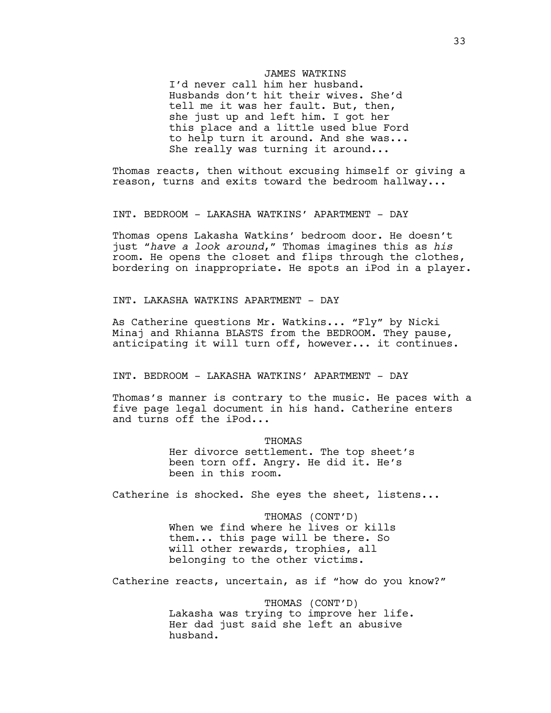### JAMES WATKINS

I'd never call him her husband. Husbands don't hit their wives. She'd tell me it was her fault. But, then, she just up and left him. I got her this place and a little used blue Ford to help turn it around. And she was... She really was turning it around...

Thomas reacts, then without excusing himself or giving a reason, turns and exits toward the bedroom hallway...

INT. BEDROOM - LAKASHA WATKINS' APARTMENT - DAY

Thomas opens Lakasha Watkins' bedroom door. He doesn't just "*have a look around*," Thomas imagines this as *his* room. He opens the closet and flips through the clothes, bordering on inappropriate. He spots an iPod in a player.

INT. LAKASHA WATKINS APARTMENT - DAY

As Catherine questions Mr. Watkins... "Fly" by Nicki Minaj and Rhianna BLASTS from the BEDROOM. They pause, anticipating it will turn off, however... it continues.

INT. BEDROOM - LAKASHA WATKINS' APARTMENT - DAY

Thomas's manner is contrary to the music. He paces with a five page legal document in his hand. Catherine enters and turns off the iPod...

> THOMAS Her divorce settlement. The top sheet's been torn off. Angry. He did it. He's been in this room.

Catherine is shocked. She eyes the sheet, listens...

THOMAS (CONT'D) When we find where he lives or kills them... this page will be there. So will other rewards, trophies, all belonging to the other victims.

Catherine reacts, uncertain, as if "how do you know?"

THOMAS (CONT'D) Lakasha was trying to improve her life. Her dad just said she left an abusive husband.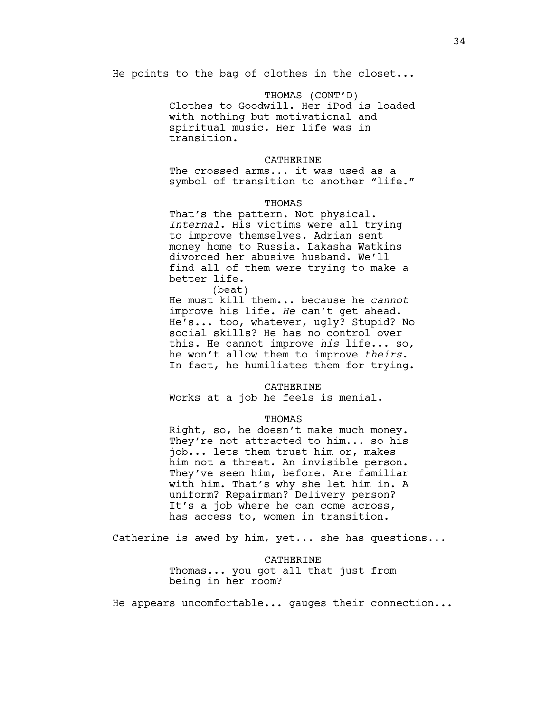He points to the bag of clothes in the closet...

THOMAS (CONT'D) Clothes to Goodwill. Her iPod is loaded with nothing but motivational and spiritual music. Her life was in transition.

### CATHERINE

The crossed arms... it was used as a symbol of transition to another "life."

#### THOMAS

That's the pattern. Not physical. *Internal*. His victims were all trying to improve themselves. Adrian sent money home to Russia. Lakasha Watkins divorced her abusive husband. We'll find all of them were trying to make a better life.

(beat)

He must kill them... because he *cannot* improve his life. *He* can't get ahead. He's... too, whatever, ugly? Stupid? No social skills? He has no control over this. He cannot improve *his* life... so, he won't allow them to improve *theirs*. In fact, he humiliates them for trying.

#### CATHERINE

Works at a job he feels is menial.

### THOMAS

Right, so, he doesn't make much money. They're not attracted to him... so his job... lets them trust him or, makes him not a threat. An invisible person. They've seen him, before. Are familiar with him. That's why she let him in. A uniform? Repairman? Delivery person? It's a job where he can come across, has access to, women in transition.

Catherine is awed by him, yet... she has questions...

#### CATHERINE

Thomas... you got all that just from being in her room?

He appears uncomfortable... gauges their connection...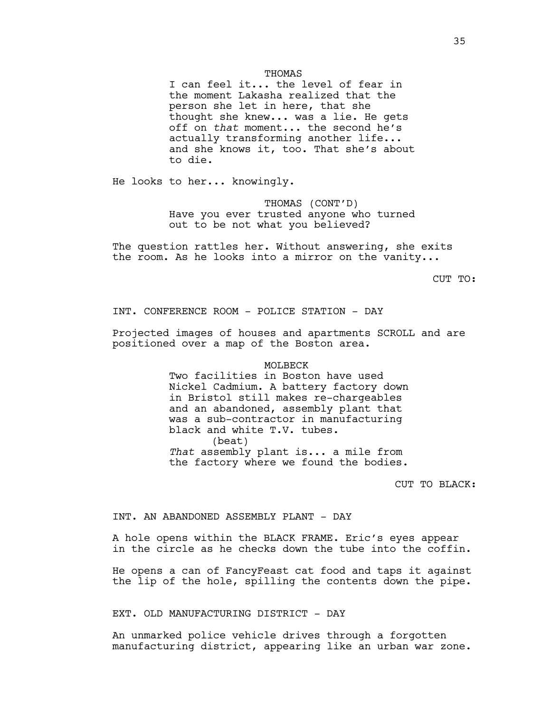#### THOMAS

I can feel it... the level of fear in the moment Lakasha realized that the person she let in here, that she thought she knew... was a lie. He gets off on *that* moment... the second he's actually transforming another life... and she knows it, too. That she's about to die.

He looks to her... knowingly.

THOMAS (CONT'D) Have you ever trusted anyone who turned out to be not what you believed?

The question rattles her. Without answering, she exits the room. As he looks into a mirror on the vanity...

CUT TO:

INT. CONFERENCE ROOM - POLICE STATION - DAY

Projected images of houses and apartments SCROLL and are positioned over a map of the Boston area.

#### MOLBECK

Two facilities in Boston have used Nickel Cadmium. A battery factory down in Bristol still makes re-chargeables and an abandoned, assembly plant that was a sub-contractor in manufacturing black and white T.V. tubes. (beat) *That* assembly plant is... a mile from the factory where we found the bodies.

CUT TO BLACK:

### INT. AN ABANDONED ASSEMBLY PLANT - DAY

A hole opens within the BLACK FRAME. Eric's eyes appear in the circle as he checks down the tube into the coffin.

He opens a can of FancyFeast cat food and taps it against the lip of the hole, spilling the contents down the pipe.

EXT. OLD MANUFACTURING DISTRICT - DAY

An unmarked police vehicle drives through a forgotten manufacturing district, appearing like an urban war zone.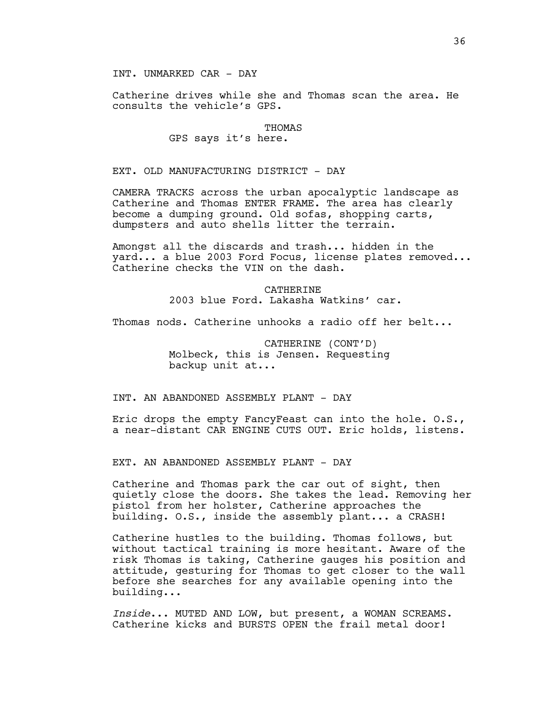INT. UNMARKED CAR - DAY

Catherine drives while she and Thomas scan the area. He consults the vehicle's GPS.

#### THOMAS

# GPS says it's here.

EXT. OLD MANUFACTURING DISTRICT - DAY

CAMERA TRACKS across the urban apocalyptic landscape as Catherine and Thomas ENTER FRAME. The area has clearly become a dumping ground. Old sofas, shopping carts, dumpsters and auto shells litter the terrain.

Amongst all the discards and trash... hidden in the yard... a blue 2003 Ford Focus, license plates removed... Catherine checks the VIN on the dash.

> **CATHERINE** 2003 blue Ford. Lakasha Watkins' car.

Thomas nods. Catherine unhooks a radio off her belt...

CATHERINE (CONT'D) Molbeck, this is Jensen. Requesting backup unit at...

INT. AN ABANDONED ASSEMBLY PLANT - DAY

Eric drops the empty FancyFeast can into the hole. O.S., a near-distant CAR ENGINE CUTS OUT. Eric holds, listens.

EXT. AN ABANDONED ASSEMBLY PLANT - DAY

Catherine and Thomas park the car out of sight, then quietly close the doors. She takes the lead. Removing her pistol from her holster, Catherine approaches the building. O.S., inside the assembly plant... a CRASH!

Catherine hustles to the building. Thomas follows, but without tactical training is more hesitant. Aware of the risk Thomas is taking, Catherine gauges his position and attitude, gesturing for Thomas to get closer to the wall before she searches for any available opening into the building...

*Inside*... MUTED AND LOW, but present, a WOMAN SCREAMS. Catherine kicks and BURSTS OPEN the frail metal door!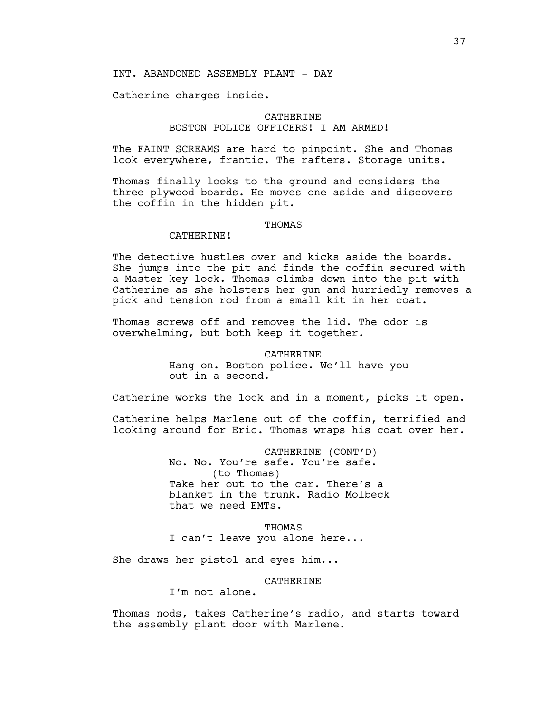## INT. ABANDONED ASSEMBLY PLANT - DAY

Catherine charges inside.

## **CATHERINE** BOSTON POLICE OFFICERS! I AM ARMED!

The FAINT SCREAMS are hard to pinpoint. She and Thomas look everywhere, frantic. The rafters. Storage units.

Thomas finally looks to the ground and considers the three plywood boards. He moves one aside and discovers the coffin in the hidden pit.

#### THOMAS

### CATHERINE!

The detective hustles over and kicks aside the boards. She jumps into the pit and finds the coffin secured with a Master key lock. Thomas climbs down into the pit with Catherine as she holsters her gun and hurriedly removes a pick and tension rod from a small kit in her coat.

Thomas screws off and removes the lid. The odor is overwhelming, but both keep it together.

#### CATHERINE

Hang on. Boston police. We'll have you out in a second.

Catherine works the lock and in a moment, picks it open.

Catherine helps Marlene out of the coffin, terrified and looking around for Eric. Thomas wraps his coat over her.

> CATHERINE (CONT'D) No. No. You're safe. You're safe. (to Thomas) Take her out to the car. There's a blanket in the trunk. Radio Molbeck that we need EMTs.

THOMAS I can't leave you alone here...

She draws her pistol and eyes him...

### CATHERINE

I'm not alone.

Thomas nods, takes Catherine's radio, and starts toward the assembly plant door with Marlene.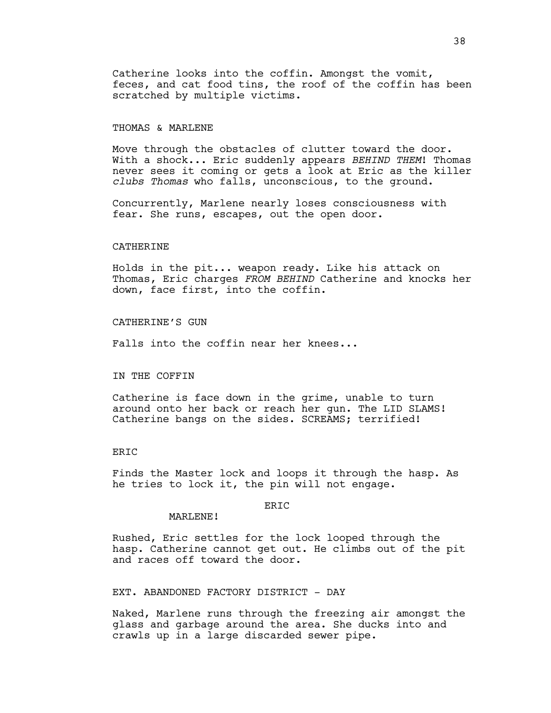Catherine looks into the coffin. Amongst the vomit, feces, and cat food tins, the roof of the coffin has been scratched by multiple victims.

### THOMAS & MARLENE

Move through the obstacles of clutter toward the door. With a shock... Eric suddenly appears *BEHIND THEM*! Thomas never sees it coming or gets a look at Eric as the killer *clubs Thomas* who falls, unconscious, to the ground.

Concurrently, Marlene nearly loses consciousness with fear. She runs, escapes, out the open door.

### CATHERINE

Holds in the pit... weapon ready. Like his attack on Thomas, Eric charges *FROM BEHIND* Catherine and knocks her down, face first, into the coffin.

### CATHERINE'S GUN

Falls into the coffin near her knees...

### IN THE COFFIN

Catherine is face down in the grime, unable to turn around onto her back or reach her gun. The LID SLAMS! Catherine bangs on the sides. SCREAMS; terrified!

## ERIC

Finds the Master lock and loops it through the hasp. As he tries to lock it, the pin will not engage.

# ERIC

Rushed, Eric settles for the lock looped through the hasp. Catherine cannot get out. He climbs out of the pit and races off toward the door.

EXT. ABANDONED FACTORY DISTRICT - DAY

MARLENE!

Naked, Marlene runs through the freezing air amongst the glass and garbage around the area. She ducks into and crawls up in a large discarded sewer pipe.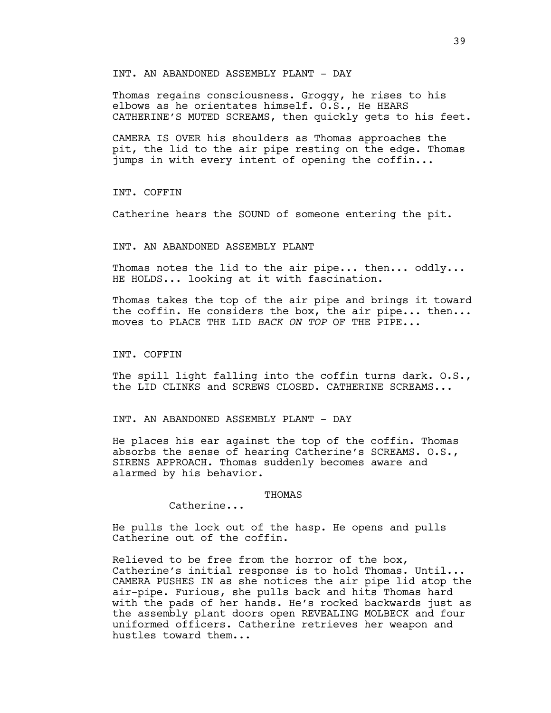### INT. AN ABANDONED ASSEMBLY PLANT - DAY

Thomas regains consciousness. Groggy, he rises to his elbows as he orientates himself. O.S., He HEARS CATHERINE'S MUTED SCREAMS, then quickly gets to his feet.

CAMERA IS OVER his shoulders as Thomas approaches the pit, the lid to the air pipe resting on the edge. Thomas jumps in with every intent of opening the coffin...

INT. COFFIN

Catherine hears the SOUND of someone entering the pit.

### INT. AN ABANDONED ASSEMBLY PLANT

Thomas notes the lid to the air pipe... then... oddly... HE HOLDS... looking at it with fascination.

Thomas takes the top of the air pipe and brings it toward the coffin. He considers the box, the air pipe... then... moves to PLACE THE LID *BACK ON TOP* OF THE PIPE...

INT. COFFIN

The spill light falling into the coffin turns dark. 0.S., the LID CLINKS and SCREWS CLOSED. CATHERINE SCREAMS...

INT. AN ABANDONED ASSEMBLY PLANT - DAY

He places his ear against the top of the coffin. Thomas absorbs the sense of hearing Catherine's SCREAMS. O.S., SIRENS APPROACH. Thomas suddenly becomes aware and alarmed by his behavior.

### **THOMAS**

Catherine...

He pulls the lock out of the hasp. He opens and pulls Catherine out of the coffin.

Relieved to be free from the horror of the box, Catherine's initial response is to hold Thomas. Until... CAMERA PUSHES IN as she notices the air pipe lid atop the air-pipe. Furious, she pulls back and hits Thomas hard with the pads of her hands. He's rocked backwards just as the assembly plant doors open REVEALING MOLBECK and four uniformed officers. Catherine retrieves her weapon and hustles toward them...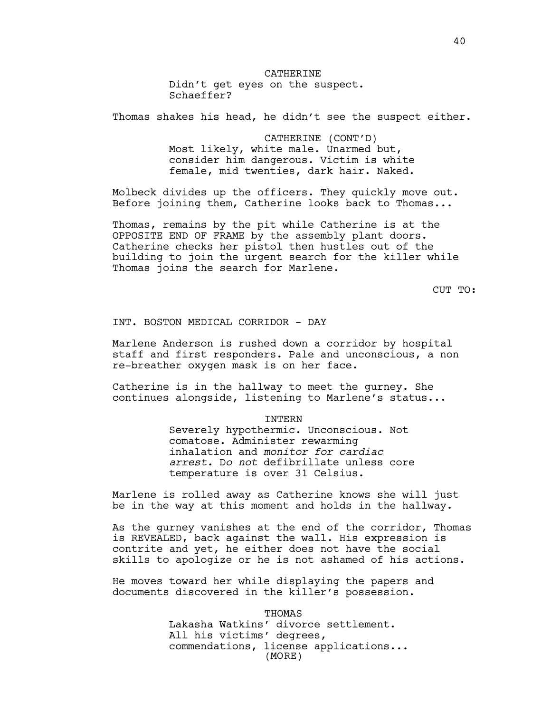# CATHERINE

Didn't get eyes on the suspect. Schaeffer?

Thomas shakes his head, he didn't see the suspect either.

CATHERINE (CONT'D) Most likely, white male. Unarmed but, consider him dangerous. Victim is white female, mid twenties, dark hair. Naked.

Molbeck divides up the officers. They quickly move out. Before joining them, Catherine looks back to Thomas...

Thomas, remains by the pit while Catherine is at the OPPOSITE END OF FRAME by the assembly plant doors. Catherine checks her pistol then hustles out of the building to join the urgent search for the killer while Thomas joins the search for Marlene.

CUT TO:

INT. BOSTON MEDICAL CORRIDOR - DAY

Marlene Anderson is rushed down a corridor by hospital staff and first responders. Pale and unconscious, a non re-breather oxygen mask is on her face.

Catherine is in the hallway to meet the gurney. She continues alongside, listening to Marlene's status...

INTERN

Severely hypothermic. Unconscious. Not comatose. Administer rewarming inhalation and *monitor for cardiac arrest.* D*o not* defibrillate unless core temperature is over 31 Celsius.

Marlene is rolled away as Catherine knows she will just be in the way at this moment and holds in the hallway.

As the gurney vanishes at the end of the corridor, Thomas is REVEALED, back against the wall. His expression is contrite and yet, he either does not have the social skills to apologize or he is not ashamed of his actions.

He moves toward her while displaying the papers and documents discovered in the killer's possession.

> THOMAS Lakasha Watkins' divorce settlement. All his victims' degrees, commendations, license applications... (MORE)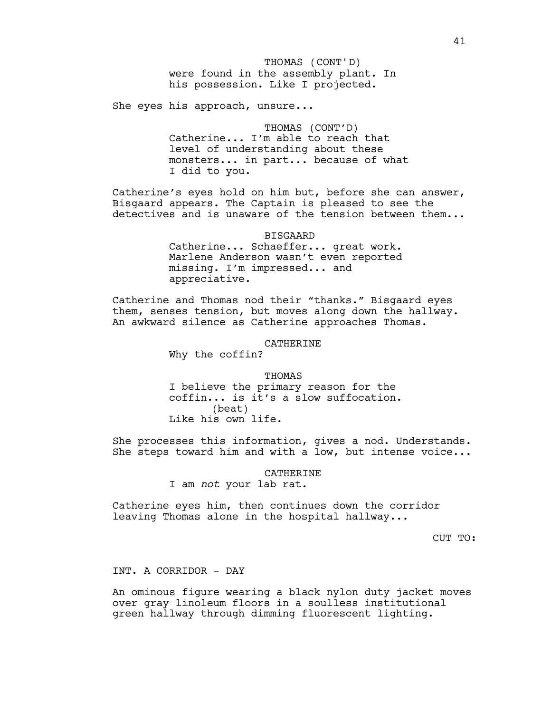She eyes his approach, unsure...

THOMAS (CONT'D) Catherine... I'm able to reach that level of understanding about these monsters... in part... because of what I did to you.

Catherine's eyes hold on him but, before she can answer, Bisgaard appears. The Captain is pleased to see the detectives and is unaware of the tension between them...

BISGAARD

Catherine... Schaeffer... great work. Marlene Anderson wasn't even reported missing. I'm impressed... and appreciative.

Catherine and Thomas nod their "thanks." Bisgaard eyes them, senses tension, but moves along down the hallway. An awkward silence as Catherine approaches Thomas.

### CATHERINE

Why the coffin?

THOMAS I believe the primary reason for the coffin... is it's a slow suffocation. (beat) Like his own life.

She processes this information, gives a nod. Understands. She steps toward him and with a low, but intense voice...

> CATHERINE I am *not* your lab rat.

Catherine eyes him, then continues down the corridor leaving Thomas alone in the hospital hallway...

CUT TO:

INT. A CORRIDOR - DAY

An ominous figure wearing a black nylon duty jacket moves over gray linoleum floors in a soulless institutional green hallway through dimming fluorescent lighting.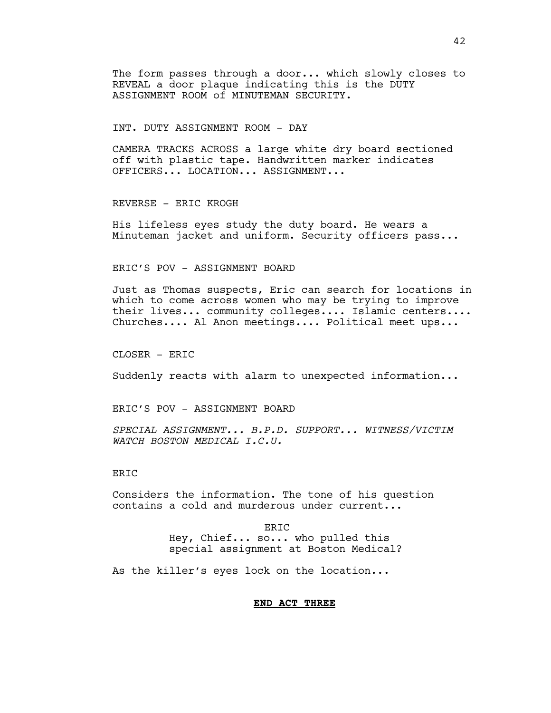The form passes through a door... which slowly closes to REVEAL a door plaque indicating this is the DUTY ASSIGNMENT ROOM of MINUTEMAN SECURITY.

INT. DUTY ASSIGNMENT ROOM - DAY

CAMERA TRACKS ACROSS a large white dry board sectioned off with plastic tape. Handwritten marker indicates OFFICERS... LOCATION... ASSIGNMENT...

REVERSE - ERIC KROGH

His lifeless eyes study the duty board. He wears a Minuteman jacket and uniform. Security officers pass...

ERIC'S POV - ASSIGNMENT BOARD

Just as Thomas suspects, Eric can search for locations in which to come across women who may be trying to improve their lives... community colleges.... Islamic centers.... Churches.... Al Anon meetings.... Political meet ups...

CLOSER - ERIC

Suddenly reacts with alarm to unexpected information...

ERIC'S POV - ASSIGNMENT BOARD

*SPECIAL ASSIGNMENT... B.P.D. SUPPORT... WITNESS/VICTIM WATCH BOSTON MEDICAL I.C.U.*

**ERTC** 

Considers the information. The tone of his question contains a cold and murderous under current...

> ERIC Hey, Chief... so... who pulled this special assignment at Boston Medical?

As the killer's eyes lock on the location...

### **END ACT THREE**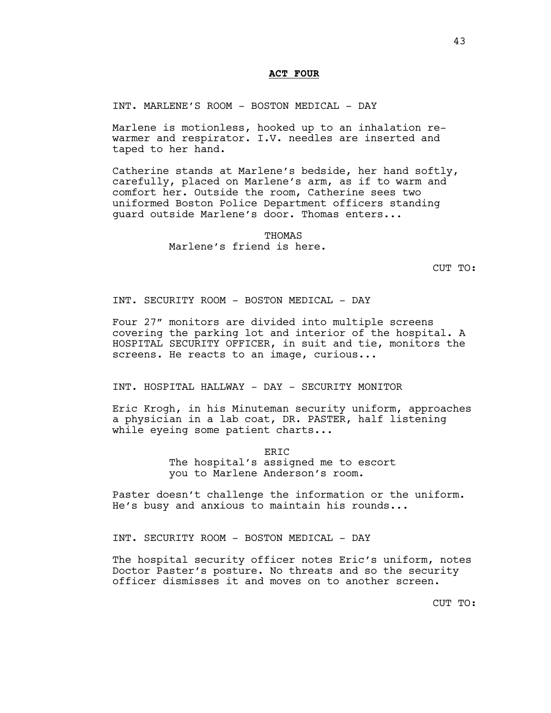## **ACT FOUR**

INT. MARLENE'S ROOM - BOSTON MEDICAL - DAY

Marlene is motionless, hooked up to an inhalation rewarmer and respirator. I.V. needles are inserted and taped to her hand.

Catherine stands at Marlene's bedside, her hand softly, carefully, placed on Marlene's arm, as if to warm and comfort her. Outside the room, Catherine sees two uniformed Boston Police Department officers standing guard outside Marlene's door. Thomas enters...

> **THOMAS** Marlene's friend is here.

> > CUT TO:

INT. SECURITY ROOM - BOSTON MEDICAL - DAY

Four 27" monitors are divided into multiple screens covering the parking lot and interior of the hospital. A HOSPITAL SECURITY OFFICER, in suit and tie, monitors the screens. He reacts to an image, curious...

INT. HOSPITAL HALLWAY - DAY - SECURITY MONITOR

Eric Krogh, in his Minuteman security uniform, approaches a physician in a lab coat, DR. PASTER, half listening while eyeing some patient charts...

ERIC

The hospital's assigned me to escort you to Marlene Anderson's room.

Paster doesn't challenge the information or the uniform. He's busy and anxious to maintain his rounds...

INT. SECURITY ROOM - BOSTON MEDICAL - DAY

The hospital security officer notes Eric's uniform, notes Doctor Paster's posture. No threats and so the security officer dismisses it and moves on to another screen.

CUT TO: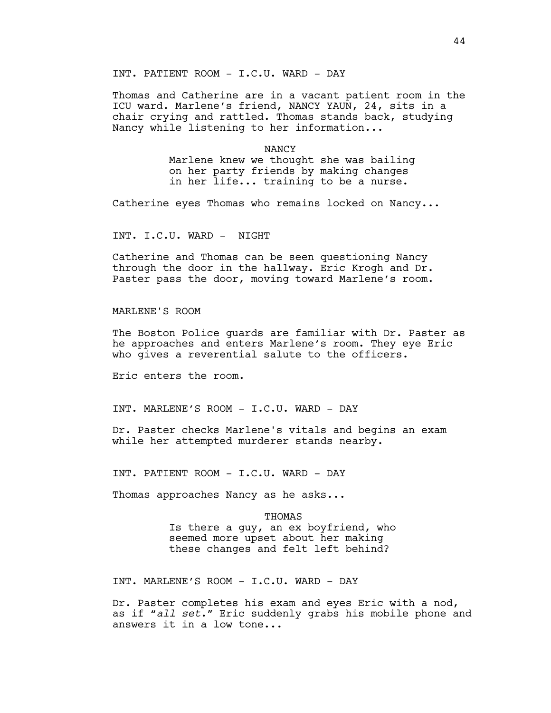INT. PATIENT ROOM - I.C.U. WARD - DAY

Thomas and Catherine are in a vacant patient room in the ICU ward. Marlene's friend, NANCY YAUN, 24, sits in a chair crying and rattled. Thomas stands back, studying Nancy while listening to her information...

#### NANCY

Marlene knew we thought she was bailing on her party friends by making changes in her life... training to be a nurse.

Catherine eyes Thomas who remains locked on Nancy...

INT. I.C.U. WARD - NIGHT

Catherine and Thomas can be seen questioning Nancy through the door in the hallway. Eric Krogh and Dr. Paster pass the door, moving toward Marlene's room.

MARLENE'S ROOM

The Boston Police guards are familiar with Dr. Paster as he approaches and enters Marlene's room. They eye Eric who gives a reverential salute to the officers.

Eric enters the room.

INT. MARLENE'S ROOM - I.C.U. WARD - DAY

Dr. Paster checks Marlene's vitals and begins an exam while her attempted murderer stands nearby.

INT. PATIENT ROOM - I.C.U. WARD - DAY

Thomas approaches Nancy as he asks...

THOMAS Is there a guy, an ex boyfriend, who seemed more upset about her making these changes and felt left behind?

INT. MARLENE'S ROOM - I.C.U. WARD - DAY

Dr. Paster completes his exam and eyes Eric with a nod, as if "*all set*." Eric suddenly grabs his mobile phone and answers it in a low tone...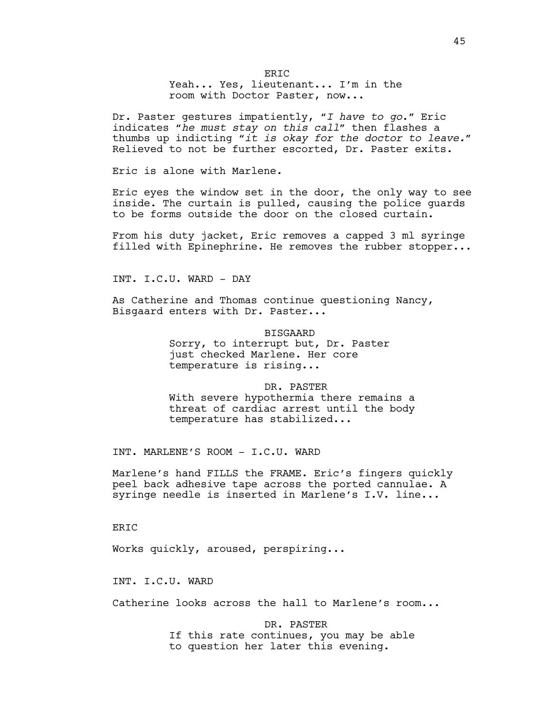**ERTC** Yeah... Yes, lieutenant... I'm in the room with Doctor Paster, now...

Dr. Paster gestures impatiently, "*I have to go*." Eric indicates "*he must stay on this call*" then flashes a thumbs up indicting "*it is okay for the doctor to leave.*" Relieved to not be further escorted, Dr. Paster exits.

Eric is alone with Marlene.

Eric eyes the window set in the door, the only way to see inside. The curtain is pulled, causing the police guards to be forms outside the door on the closed curtain.

From his duty jacket, Eric removes a capped 3 ml syringe filled with Epinephrine. He removes the rubber stopper...

INT. I.C.U. WARD - DAY

As Catherine and Thomas continue questioning Nancy, Bisgaard enters with Dr. Paster...

> BISGAARD Sorry, to interrupt but, Dr. Paster just checked Marlene. Her core temperature is rising...

DR. PASTER With severe hypothermia there remains a threat of cardiac arrest until the body temperature has stabilized...

INT. MARLENE'S ROOM - I.C.U. WARD

Marlene's hand FILLS the FRAME. Eric's fingers quickly peel back adhesive tape across the ported cannulae. A syringe needle is inserted in Marlene's I.V. line...

**ERTC** 

Works quickly, aroused, perspiring...

INT. I.C.U. WARD

Catherine looks across the hall to Marlene's room...

DR. PASTER If this rate continues, you may be able to question her later this evening.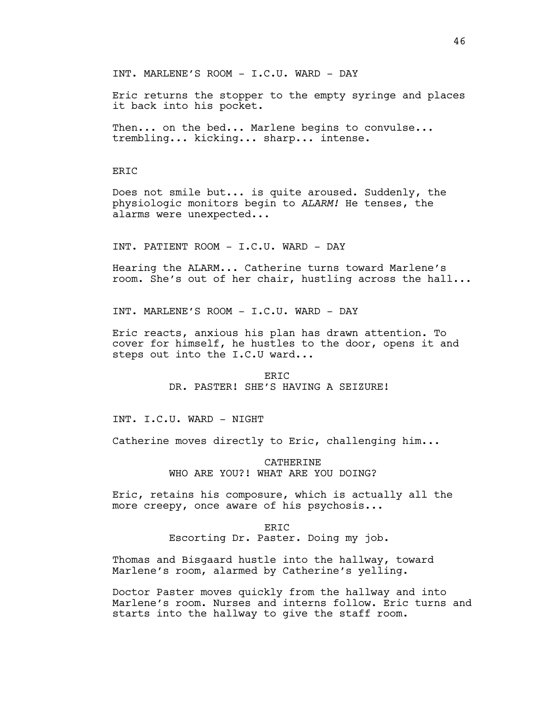INT. MARLENE'S ROOM - I.C.U. WARD - DAY

Eric returns the stopper to the empty syringe and places it back into his pocket.

Then... on the bed... Marlene begins to convulse... trembling... kicking... sharp... intense.

### ERIC

Does not smile but... is quite aroused. Suddenly, the physiologic monitors begin to *ALARM!* He tenses, the alarms were unexpected...

INT. PATIENT ROOM - I.C.U. WARD - DAY

Hearing the ALARM... Catherine turns toward Marlene's room. She's out of her chair, hustling across the hall...

INT. MARLENE'S ROOM - I.C.U. WARD - DAY

Eric reacts, anxious his plan has drawn attention. To cover for himself, he hustles to the door, opens it and steps out into the I.C.U ward...

> **ERIC** DR. PASTER! SHE'S HAVING A SEIZURE!

INT. I.C.U. WARD - NIGHT

Catherine moves directly to Eric, challenging him...

CATHERINE WHO ARE YOU?! WHAT ARE YOU DOING?

Eric, retains his composure, which is actually all the more creepy, once aware of his psychosis...

ERIC

Escorting Dr. Paster. Doing my job.

Thomas and Bisgaard hustle into the hallway, toward Marlene's room, alarmed by Catherine's yelling.

Doctor Paster moves quickly from the hallway and into Marlene's room. Nurses and interns follow. Eric turns and starts into the hallway to give the staff room.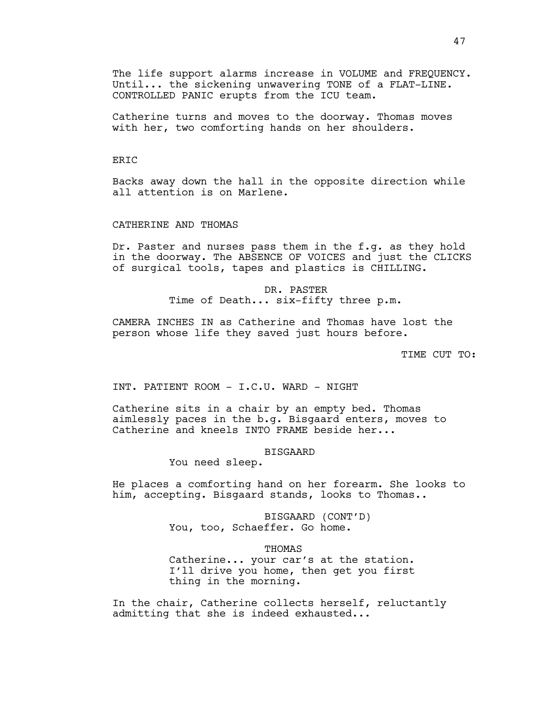The life support alarms increase in VOLUME and FREQUENCY. Until... the sickening unwavering TONE of a FLAT-LINE. CONTROLLED PANIC erupts from the ICU team.

Catherine turns and moves to the doorway. Thomas moves with her, two comforting hands on her shoulders.

### **ERTC**

Backs away down the hall in the opposite direction while all attention is on Marlene.

### CATHERINE AND THOMAS

Dr. Paster and nurses pass them in the f.g. as they hold in the doorway. The ABSENCE OF VOICES and just the CLICKS of surgical tools, tapes and plastics is CHILLING.

> DR. PASTER Time of Death... six-fifty three p.m.

CAMERA INCHES IN as Catherine and Thomas have lost the person whose life they saved just hours before.

TIME CUT TO:

INT. PATIENT ROOM - I.C.U. WARD - NIGHT

Catherine sits in a chair by an empty bed. Thomas aimlessly paces in the b.g. Bisgaard enters, moves to Catherine and kneels INTO FRAME beside her...

### BISGAARD

You need sleep.

He places a comforting hand on her forearm. She looks to him, accepting. Bisgaard stands, looks to Thomas..

> BISGAARD (CONT'D) You, too, Schaeffer. Go home.

> > THOMAS

Catherine... your car's at the station. I'll drive you home, then get you first thing in the morning.

In the chair, Catherine collects herself, reluctantly admitting that she is indeed exhausted...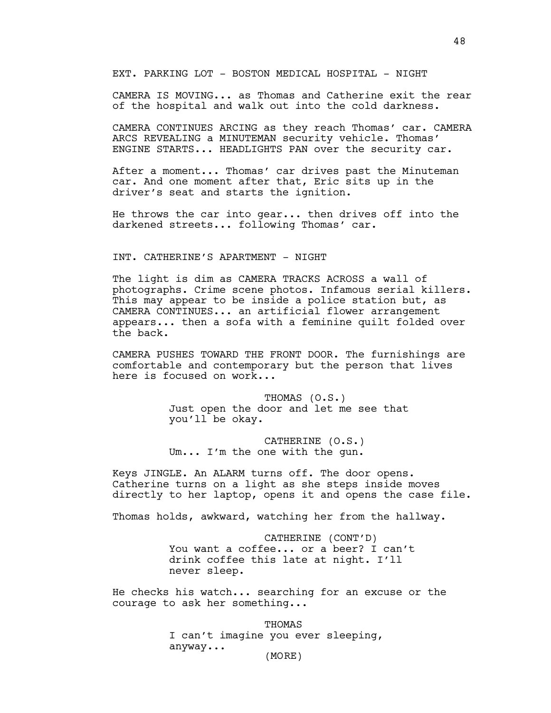EXT. PARKING LOT - BOSTON MEDICAL HOSPITAL - NIGHT

CAMERA IS MOVING... as Thomas and Catherine exit the rear of the hospital and walk out into the cold darkness.

CAMERA CONTINUES ARCING as they reach Thomas' car. CAMERA ARCS REVEALING a MINUTEMAN security vehicle. Thomas' ENGINE STARTS... HEADLIGHTS PAN over the security car.

After a moment... Thomas' car drives past the Minuteman car. And one moment after that, Eric sits up in the driver's seat and starts the ignition.

He throws the car into gear... then drives off into the darkened streets... following Thomas' car.

### INT. CATHERINE'S APARTMENT - NIGHT

The light is dim as CAMERA TRACKS ACROSS a wall of photographs. Crime scene photos. Infamous serial killers. This may appear to be inside a police station but, as CAMERA CONTINUES... an artificial flower arrangement appears... then a sofa with a feminine quilt folded over the back.

CAMERA PUSHES TOWARD THE FRONT DOOR. The furnishings are comfortable and contemporary but the person that lives here is focused on work...

> THOMAS (O.S.) Just open the door and let me see that you'll be okay.

CATHERINE (O.S.) Um... I'm the one with the gun.

Keys JINGLE. An ALARM turns off. The door opens. Catherine turns on a light as she steps inside moves directly to her laptop, opens it and opens the case file.

Thomas holds, awkward, watching her from the hallway.

CATHERINE (CONT'D) You want a coffee... or a beer? I can't drink coffee this late at night. I'll never sleep.

He checks his watch... searching for an excuse or the courage to ask her something...

> THOMAS I can't imagine you ever sleeping, anyway... (MORE)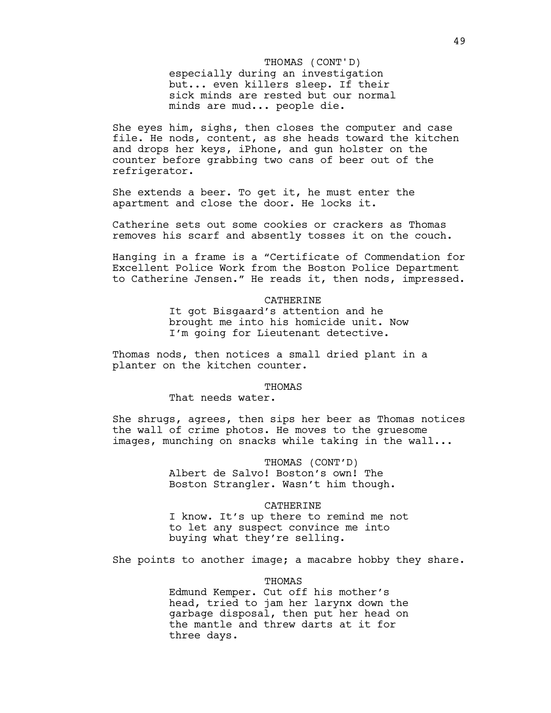especially during an investigation but... even killers sleep. If their sick minds are rested but our normal minds are mud... people die. THOMAS (CONT'D)

She eyes him, sighs, then closes the computer and case file. He nods, content, as she heads toward the kitchen and drops her keys, iPhone, and gun holster on the counter before grabbing two cans of beer out of the refrigerator.

She extends a beer. To get it, he must enter the apartment and close the door. He locks it.

Catherine sets out some cookies or crackers as Thomas removes his scarf and absently tosses it on the couch.

Hanging in a frame is a "Certificate of Commendation for Excellent Police Work from the Boston Police Department to Catherine Jensen." He reads it, then nods, impressed.

#### CATHERINE

It got Bisgaard's attention and he brought me into his homicide unit. Now I'm going for Lieutenant detective.

Thomas nods, then notices a small dried plant in a planter on the kitchen counter.

#### THOMAS

That needs water.

She shrugs, agrees, then sips her beer as Thomas notices the wall of crime photos. He moves to the gruesome images, munching on snacks while taking in the wall...

#### THOMAS (CONT'D)

Albert de Salvo! Boston's own! The Boston Strangler. Wasn't him though.

#### CATHERINE

I know. It's up there to remind me not to let any suspect convince me into buying what they're selling.

She points to another image; a macabre hobby they share.

#### THOMAS

Edmund Kemper. Cut off his mother's head, tried to jam her larynx down the garbage disposal, then put her head on the mantle and threw darts at it for three days.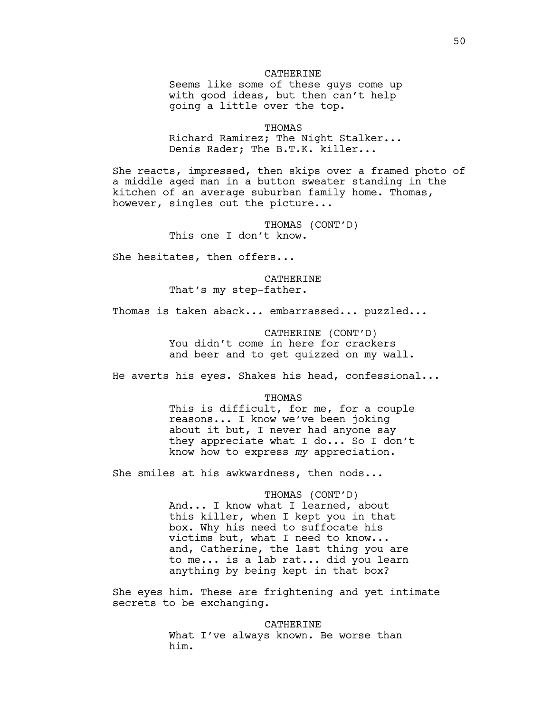### CATHERINE

Seems like some of these guys come up with good ideas, but then can't help going a little over the top.

THOMAS

Richard Ramirez; The Night Stalker... Denis Rader; The B.T.K. killer...

She reacts, impressed, then skips over a framed photo of a middle aged man in a button sweater standing in the kitchen of an average suburban family home. Thomas, however, singles out the picture...

> THOMAS (CONT'D) This one I don't know.

She hesitates, then offers...

CATHERINE That's my step-father.

Thomas is taken aback... embarrassed... puzzled...

CATHERINE (CONT'D) You didn't come in here for crackers and beer and to get quizzed on my wall.

He averts his eyes. Shakes his head, confessional...

THOMAS

This is difficult, for me, for a couple reasons... I know we've been joking about it but, I never had anyone say they appreciate what I do... So I don't know how to express *my* appreciation.

She smiles at his awkwardness, then nods...

THOMAS (CONT'D) And... I know what I learned, about this killer, when I kept you in that box. Why his need to suffocate his victims but, what I need to know... and, Catherine, the last thing you are to me... is a lab rat... did you learn anything by being kept in that box?

She eyes him. These are frightening and yet intimate secrets to be exchanging.

> CATHERINE What I've always known. Be worse than him.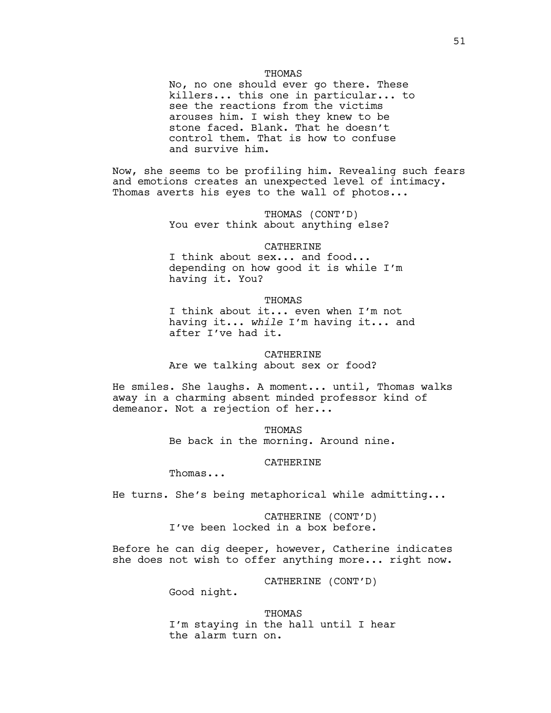### THOMAS

No, no one should ever go there. These killers... this one in particular... to see the reactions from the victims arouses him. I wish they knew to be stone faced. Blank. That he doesn't control them. That is how to confuse and survive him.

Now, she seems to be profiling him. Revealing such fears and emotions creates an unexpected level of intimacy. Thomas averts his eyes to the wall of photos...

> THOMAS (CONT'D) You ever think about anything else?

#### CATHERINE

I think about sex... and food... depending on how good it is while I'm having it. You?

THOMAS

I think about it... even when I'm not having it... *while* I'm having it... and after I've had it.

**CATHERINE** Are we talking about sex or food?

He smiles. She laughs. A moment... until, Thomas walks away in a charming absent minded professor kind of demeanor. Not a rejection of her...

> THOMAS Be back in the morning. Around nine.

> > CATHERINE

Thomas...

He turns. She's being metaphorical while admitting...

CATHERINE (CONT'D) I've been locked in a box before.

Before he can dig deeper, however, Catherine indicates she does not wish to offer anything more... right now.

CATHERINE (CONT'D)

Good night.

THOMAS I'm staying in the hall until I hear the alarm turn on.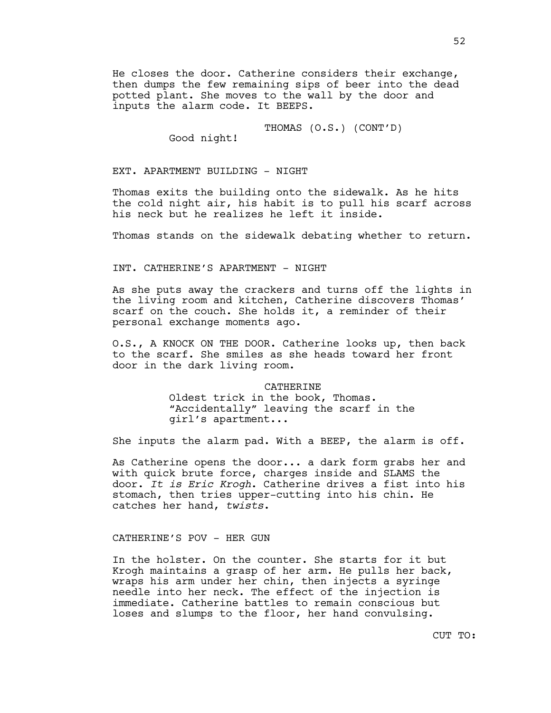He closes the door. Catherine considers their exchange, then dumps the few remaining sips of beer into the dead potted plant. She moves to the wall by the door and inputs the alarm code. It BEEPS.

THOMAS (O.S.) (CONT'D)

Good night!

EXT. APARTMENT BUILDING - NIGHT

Thomas exits the building onto the sidewalk. As he hits the cold night air, his habit is to pull his scarf across his neck but he realizes he left it inside.

Thomas stands on the sidewalk debating whether to return.

INT. CATHERINE'S APARTMENT - NIGHT

As she puts away the crackers and turns off the lights in the living room and kitchen, Catherine discovers Thomas' scarf on the couch. She holds it, a reminder of their personal exchange moments ago.

O.S., A KNOCK ON THE DOOR. Catherine looks up, then back to the scarf. She smiles as she heads toward her front door in the dark living room.

## CATHERINE

Oldest trick in the book, Thomas. "Accidentally" leaving the scarf in the girl's apartment...

She inputs the alarm pad. With a BEEP, the alarm is off.

As Catherine opens the door... a dark form grabs her and with quick brute force, charges inside and SLAMS the door. *It is Eric Krogh*. Catherine drives a fist into his stomach, then tries upper-cutting into his chin. He catches her hand, *twists*.

### CATHERINE'S POV - HER GUN

In the holster. On the counter. She starts for it but Krogh maintains a grasp of her arm. He pulls her back, wraps his arm under her chin, then injects a syringe needle into her neck. The effect of the injection is immediate. Catherine battles to remain conscious but loses and slumps to the floor, her hand convulsing.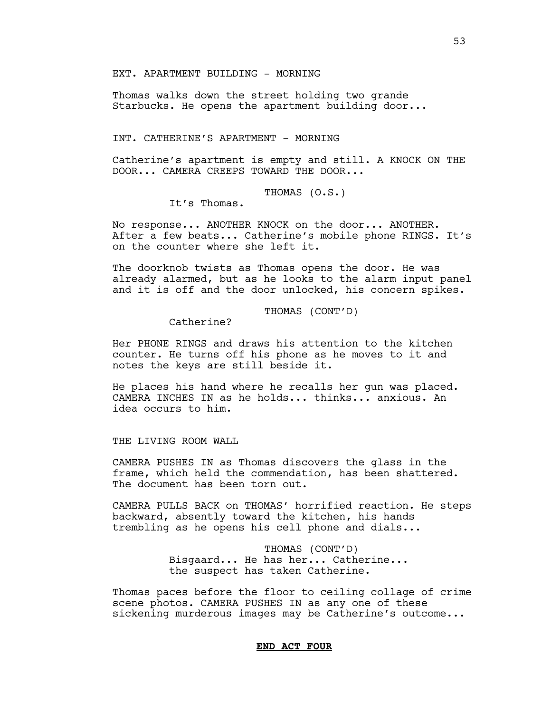EXT. APARTMENT BUILDING - MORNING

Thomas walks down the street holding two grande Starbucks. He opens the apartment building door...

INT. CATHERINE'S APARTMENT - MORNING

Catherine's apartment is empty and still. A KNOCK ON THE DOOR... CAMERA CREEPS TOWARD THE DOOR...

THOMAS (O.S.)

It's Thomas.

No response... ANOTHER KNOCK on the door... ANOTHER. After a few beats... Catherine's mobile phone RINGS. It's on the counter where she left it.

The doorknob twists as Thomas opens the door. He was already alarmed, but as he looks to the alarm input panel and it is off and the door unlocked, his concern spikes.

THOMAS (CONT'D)

Catherine?

Her PHONE RINGS and draws his attention to the kitchen counter. He turns off his phone as he moves to it and notes the keys are still beside it.

He places his hand where he recalls her gun was placed. CAMERA INCHES IN as he holds... thinks... anxious. An idea occurs to him.

THE LIVING ROOM WALL

CAMERA PUSHES IN as Thomas discovers the glass in the frame, which held the commendation, has been shattered. The document has been torn out.

CAMERA PULLS BACK on THOMAS' horrified reaction. He steps backward, absently toward the kitchen, his hands trembling as he opens his cell phone and dials...

> THOMAS (CONT'D) Bisgaard... He has her... Catherine... the suspect has taken Catherine.

Thomas paces before the floor to ceiling collage of crime scene photos. CAMERA PUSHES IN as any one of these sickening murderous images may be Catherine's outcome...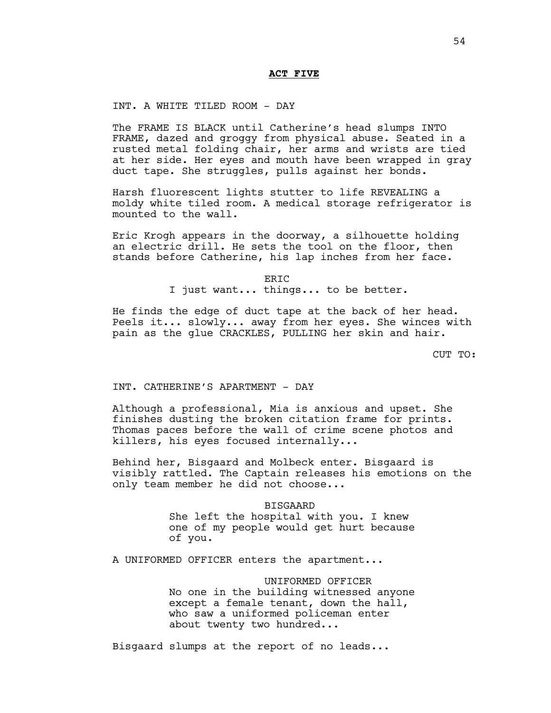## **ACT FIVE**

INT. A WHITE TILED ROOM - DAY

The FRAME IS BLACK until Catherine's head slumps INTO FRAME, dazed and groggy from physical abuse. Seated in a rusted metal folding chair, her arms and wrists are tied at her side. Her eyes and mouth have been wrapped in gray duct tape. She struggles, pulls against her bonds.

Harsh fluorescent lights stutter to life REVEALING a moldy white tiled room. A medical storage refrigerator is mounted to the wall.

Eric Krogh appears in the doorway, a silhouette holding an electric drill. He sets the tool on the floor, then stands before Catherine, his lap inches from her face.

ERIC

I just want... things... to be better.

He finds the edge of duct tape at the back of her head. Peels it... slowly... away from her eyes. She winces with pain as the glue CRACKLES, PULLING her skin and hair.

CUT TO:

INT. CATHERINE'S APARTMENT - DAY

Although a professional, Mia is anxious and upset. She finishes dusting the broken citation frame for prints. Thomas paces before the wall of crime scene photos and killers, his eyes focused internally...

Behind her, Bisgaard and Molbeck enter. Bisgaard is visibly rattled. The Captain releases his emotions on the only team member he did not choose...

> BISGAARD She left the hospital with you. I knew one of my people would get hurt because of you.

A UNIFORMED OFFICER enters the apartment...

UNIFORMED OFFICER No one in the building witnessed anyone except a female tenant, down the hall, who saw a uniformed policeman enter about twenty two hundred...

Bisgaard slumps at the report of no leads...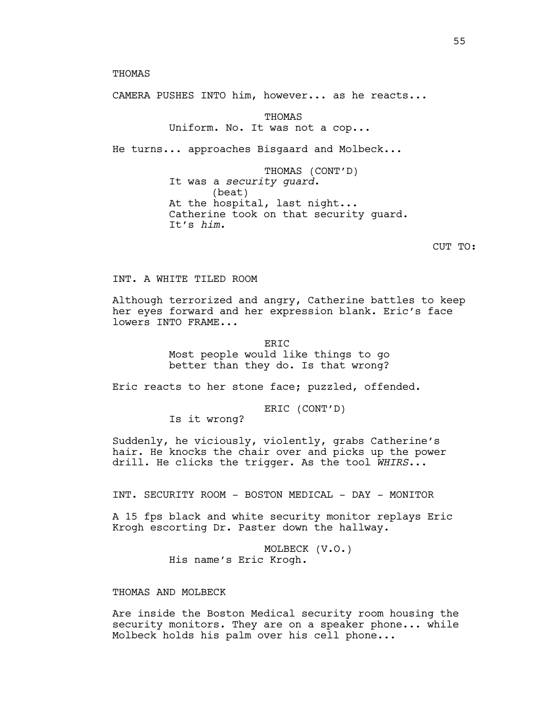THOMAS

CAMERA PUSHES INTO him, however... as he reacts...

**THOMAS** Uniform. No. It was not a cop...

He turns... approaches Bisgaard and Molbeck...

THOMAS (CONT'D) It was a *security guard*. (beat) At the hospital, last night... Catherine took on that security guard. It's *him.*

CUT TO:

# INT. A WHITE TILED ROOM

Although terrorized and angry, Catherine battles to keep her eyes forward and her expression blank. Eric's face lowers INTO FRAME...

> ERIC Most people would like things to go better than they do. Is that wrong?

Eric reacts to her stone face; puzzled, offended.

ERIC (CONT'D)

Is it wrong?

Suddenly, he viciously, violently, grabs Catherine's hair. He knocks the chair over and picks up the power drill. He clicks the trigger. As the tool *WHIRS*...

INT. SECURITY ROOM - BOSTON MEDICAL - DAY - MONITOR

A 15 fps black and white security monitor replays Eric Krogh escorting Dr. Paster down the hallway.

> MOLBECK (V.O.) His name's Eric Krogh.

THOMAS AND MOLBECK

Are inside the Boston Medical security room housing the security monitors. They are on a speaker phone... while Molbeck holds his palm over his cell phone...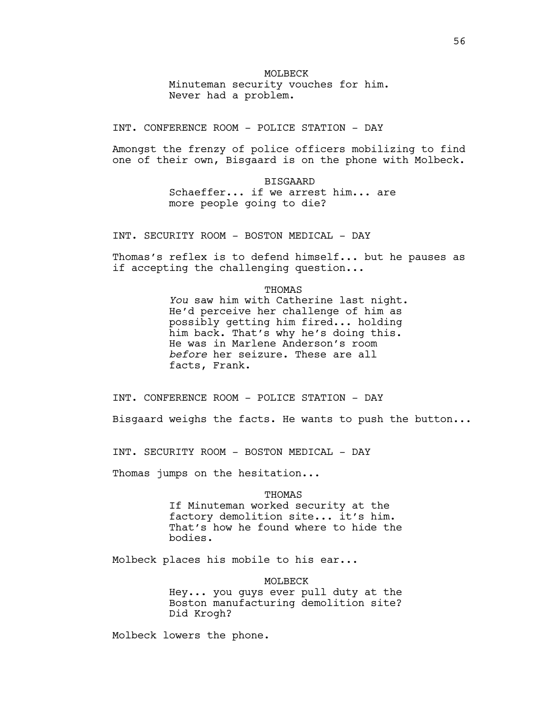## MOLBECK

Minuteman security vouches for him. Never had a problem.

INT. CONFERENCE ROOM - POLICE STATION - DAY

Amongst the frenzy of police officers mobilizing to find one of their own, Bisgaard is on the phone with Molbeck.

> BISGAARD Schaeffer... if we arrest him... are more people going to die?

INT. SECURITY ROOM - BOSTON MEDICAL - DAY

Thomas's reflex is to defend himself... but he pauses as if accepting the challenging question...

#### **THOMAS**

*You* saw him with Catherine last night. He'd perceive her challenge of him as possibly getting him fired... holding him back. That's why he's doing this. He was in Marlene Anderson's room *before* her seizure. These are all facts, Frank.

INT. CONFERENCE ROOM - POLICE STATION - DAY

Bisgaard weighs the facts. He wants to push the button...

INT. SECURITY ROOM - BOSTON MEDICAL - DAY

Thomas jumps on the hesitation...

## THOMAS

If Minuteman worked security at the factory demolition site... it's him. That's how he found where to hide the bodies.

Molbeck places his mobile to his ear...

MOLBECK

Hey... you guys ever pull duty at the Boston manufacturing demolition site? Did Krogh?

Molbeck lowers the phone.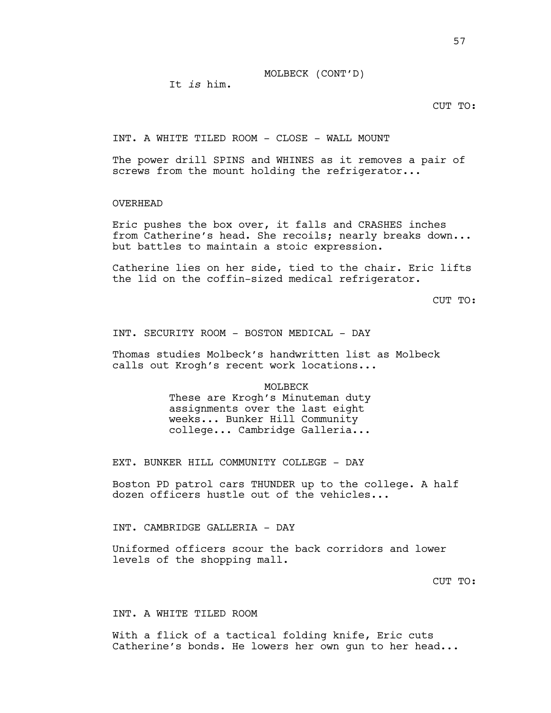It *is* him.

CUT TO:

INT. A WHITE TILED ROOM - CLOSE - WALL MOUNT

The power drill SPINS and WHINES as it removes a pair of screws from the mount holding the refrigerator...

# OVERHEAD

Eric pushes the box over, it falls and CRASHES inches from Catherine's head. She recoils; nearly breaks down... but battles to maintain a stoic expression.

Catherine lies on her side, tied to the chair. Eric lifts the lid on the coffin-sized medical refrigerator.

CUT TO:

INT. SECURITY ROOM - BOSTON MEDICAL - DAY

Thomas studies Molbeck's handwritten list as Molbeck calls out Krogh's recent work locations...

### MOLBECK

These are Krogh's Minuteman duty assignments over the last eight weeks... Bunker Hill Community college... Cambridge Galleria...

EXT. BUNKER HILL COMMUNITY COLLEGE - DAY

Boston PD patrol cars THUNDER up to the college. A half dozen officers hustle out of the vehicles...

INT. CAMBRIDGE GALLERIA - DAY

Uniformed officers scour the back corridors and lower levels of the shopping mall.

CUT TO:

# INT. A WHITE TILED ROOM

With a flick of a tactical folding knife, Eric cuts Catherine's bonds. He lowers her own gun to her head...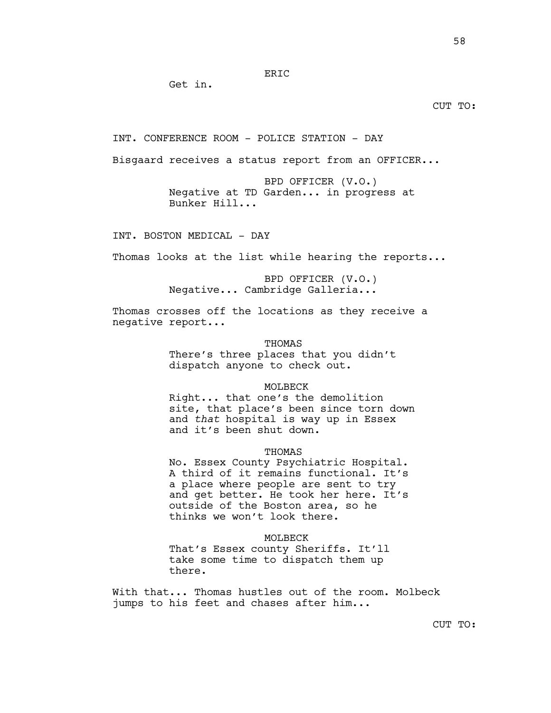## ERIC

Get in.

## CUT TO:

INT. CONFERENCE ROOM - POLICE STATION - DAY

Bisgaard receives a status report from an OFFICER...

BPD OFFICER (V.O.) Negative at TD Garden... in progress at Bunker Hill...

INT. BOSTON MEDICAL - DAY

Thomas looks at the list while hearing the reports...

BPD OFFICER (V.O.) Negative... Cambridge Galleria...

Thomas crosses off the locations as they receive a negative report...

> THOMAS There's three places that you didn't dispatch anyone to check out.

### MOLBECK

Right... that one's the demolition site, that place's been since torn down and *that* hospital is way up in Essex and it's been shut down.

### THOMAS

No. Essex County Psychiatric Hospital. A third of it remains functional. It's a place where people are sent to try and get better. He took her here. It's outside of the Boston area, so he thinks we won't look there.

### MOLBECK

That's Essex county Sheriffs. It'll take some time to dispatch them up there.

With that... Thomas hustles out of the room. Molbeck jumps to his feet and chases after him...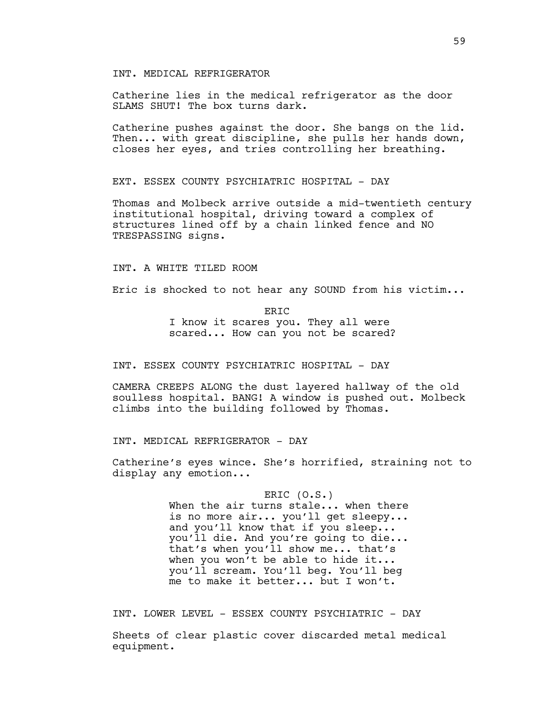INT. MEDICAL REFRIGERATOR

Catherine lies in the medical refrigerator as the door SLAMS SHUT! The box turns dark.

Catherine pushes against the door. She bangs on the lid. Then... with great discipline, she pulls her hands down, closes her eyes, and tries controlling her breathing.

EXT. ESSEX COUNTY PSYCHIATRIC HOSPITAL - DAY

Thomas and Molbeck arrive outside a mid-twentieth century institutional hospital, driving toward a complex of structures lined off by a chain linked fence and NO TRESPASSING signs.

INT. A WHITE TILED ROOM

Eric is shocked to not hear any SOUND from his victim...

ERIC I know it scares you. They all were scared... How can you not be scared?

INT. ESSEX COUNTY PSYCHIATRIC HOSPITAL - DAY

CAMERA CREEPS ALONG the dust layered hallway of the old soulless hospital. BANG! A window is pushed out. Molbeck climbs into the building followed by Thomas.

INT. MEDICAL REFRIGERATOR - DAY

Catherine's eyes wince. She's horrified, straining not to display any emotion...

> ERIC (O.S.) When the air turns stale... when there is no more air... you'll get sleepy... and you'll know that if you sleep... you'll die. And you're going to die... that's when you'll show me... that's when you won't be able to hide it... you'll scream. You'll beg. You'll beg me to make it better... but I won't.

INT. LOWER LEVEL - ESSEX COUNTY PSYCHIATRIC - DAY

Sheets of clear plastic cover discarded metal medical equipment.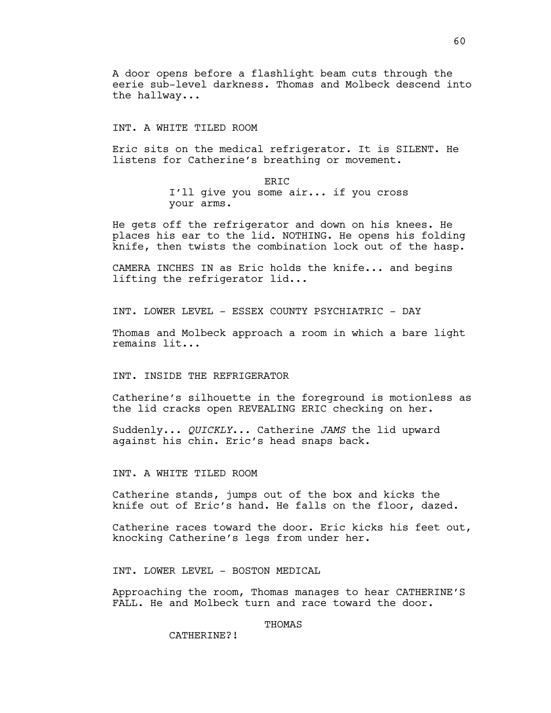A door opens before a flashlight beam cuts through the eerie sub-level darkness. Thomas and Molbeck descend into the hallway...

### INT. A WHITE TILED ROOM

Eric sits on the medical refrigerator. It is SILENT. He listens for Catherine's breathing or movement.

> **ERTC** I'll give you some air... if you cross your arms.

He gets off the refrigerator and down on his knees. He places his ear to the lid. NOTHING. He opens his folding knife, then twists the combination lock out of the hasp.

CAMERA INCHES IN as Eric holds the knife... and begins lifting the refrigerator lid...

INT. LOWER LEVEL - ESSEX COUNTY PSYCHIATRIC - DAY

Thomas and Molbeck approach a room in which a bare light remains lit...

# INT. INSIDE THE REFRIGERATOR

Catherine's silhouette in the foreground is motionless as the lid cracks open REVEALING ERIC checking on her.

Suddenly... *QUICKLY*... Catherine *JAMS* the lid upward against his chin. Eric's head snaps back.

INT. A WHITE TILED ROOM

Catherine stands, jumps out of the box and kicks the knife out of Eric's hand. He falls on the floor, dazed.

Catherine races toward the door. Eric kicks his feet out, knocking Catherine's legs from under her.

INT. LOWER LEVEL - BOSTON MEDICAL

Approaching the room, Thomas manages to hear CATHERINE'S FALL. He and Molbeck turn and race toward the door.

## THOMAS

CATHERINE?!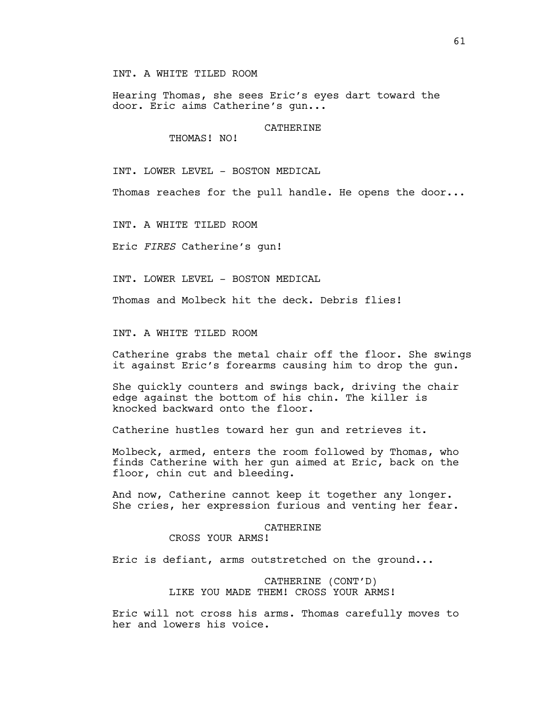INT. A WHITE TILED ROOM

Hearing Thomas, she sees Eric's eyes dart toward the door. Eric aims Catherine's gun...

CATHERINE

THOMAS! NO!

INT. LOWER LEVEL - BOSTON MEDICAL

Thomas reaches for the pull handle. He opens the door...

INT. A WHITE TILED ROOM

Eric *FIRES* Catherine's gun!

INT. LOWER LEVEL - BOSTON MEDICAL

Thomas and Molbeck hit the deck. Debris flies!

INT. A WHITE TILED ROOM

Catherine grabs the metal chair off the floor. She swings it against Eric's forearms causing him to drop the gun.

She quickly counters and swings back, driving the chair edge against the bottom of his chin. The killer is knocked backward onto the floor.

Catherine hustles toward her gun and retrieves it.

Molbeck, armed, enters the room followed by Thomas, who finds Catherine with her gun aimed at Eric, back on the floor, chin cut and bleeding.

And now, Catherine cannot keep it together any longer. She cries, her expression furious and venting her fear.

#### CATHERINE

CROSS YOUR ARMS!

Eric is defiant, arms outstretched on the ground...

# CATHERINE (CONT'D) LIKE YOU MADE THEM! CROSS YOUR ARMS!

Eric will not cross his arms. Thomas carefully moves to her and lowers his voice.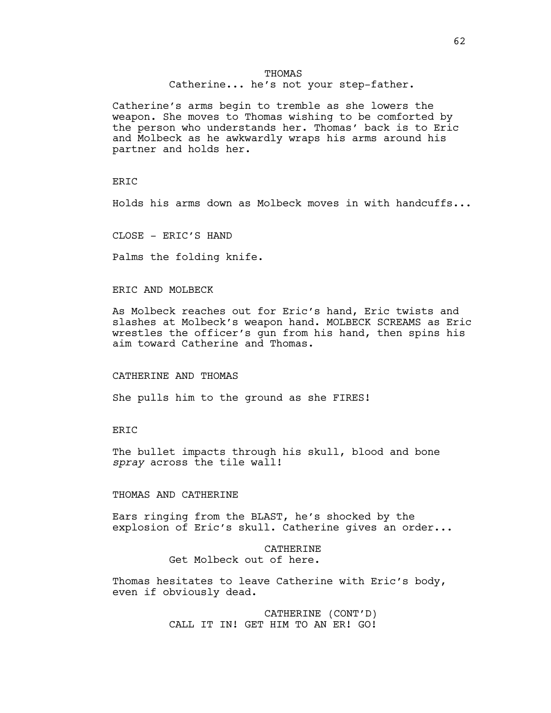# THOMAS

Catherine... he's not your step-father.

Catherine's arms begin to tremble as she lowers the weapon. She moves to Thomas wishing to be comforted by the person who understands her. Thomas' back is to Eric and Molbeck as he awkwardly wraps his arms around his partner and holds her.

### **ERIC**

Holds his arms down as Molbeck moves in with handcuffs...

CLOSE - ERIC'S HAND

Palms the folding knife.

### ERIC AND MOLBECK

As Molbeck reaches out for Eric's hand, Eric twists and slashes at Molbeck's weapon hand. MOLBECK SCREAMS as Eric wrestles the officer's gun from his hand, then spins his aim toward Catherine and Thomas.

# CATHERINE AND THOMAS

She pulls him to the ground as she FIRES!

### ERIC

The bullet impacts through his skull, blood and bone *spray* across the tile wall!

# THOMAS AND CATHERINE

Ears ringing from the BLAST, he's shocked by the explosion of Eric's skull. Catherine gives an order...

> CATHERINE Get Molbeck out of here.

Thomas hesitates to leave Catherine with Eric's body, even if obviously dead.

> CATHERINE (CONT'D) CALL IT IN! GET HIM TO AN ER! GO!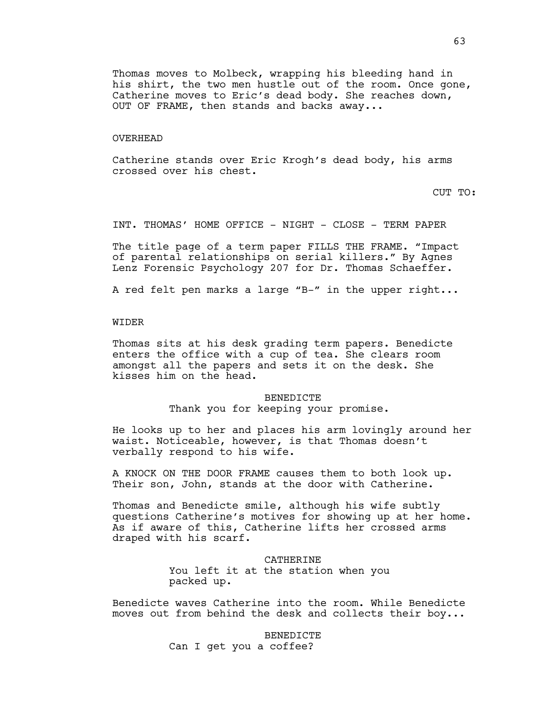Thomas moves to Molbeck, wrapping his bleeding hand in his shirt, the two men hustle out of the room. Once gone, Catherine moves to Eric's dead body. She reaches down, OUT OF FRAME, then stands and backs away...

### OVERHEAD

Catherine stands over Eric Krogh's dead body, his arms crossed over his chest.

CUT TO:

INT. THOMAS' HOME OFFICE - NIGHT - CLOSE - TERM PAPER

The title page of a term paper FILLS THE FRAME. "Impact of parental relationships on serial killers." By Agnes Lenz Forensic Psychology 207 for Dr. Thomas Schaeffer.

A red felt pen marks a large "B-" in the upper right...

### WIDER

Thomas sits at his desk grading term papers. Benedicte enters the office with a cup of tea. She clears room amongst all the papers and sets it on the desk. She kisses him on the head.

#### BENEDICTE

Thank you for keeping your promise.

He looks up to her and places his arm lovingly around her waist. Noticeable, however, is that Thomas doesn't verbally respond to his wife.

A KNOCK ON THE DOOR FRAME causes them to both look up. Their son, John, stands at the door with Catherine.

Thomas and Benedicte smile, although his wife subtly questions Catherine's motives for showing up at her home. As if aware of this, Catherine lifts her crossed arms draped with his scarf.

> CATHERINE You left it at the station when you packed up.

Benedicte waves Catherine into the room. While Benedicte moves out from behind the desk and collects their boy...

> BENEDICTE Can I get you a coffee?